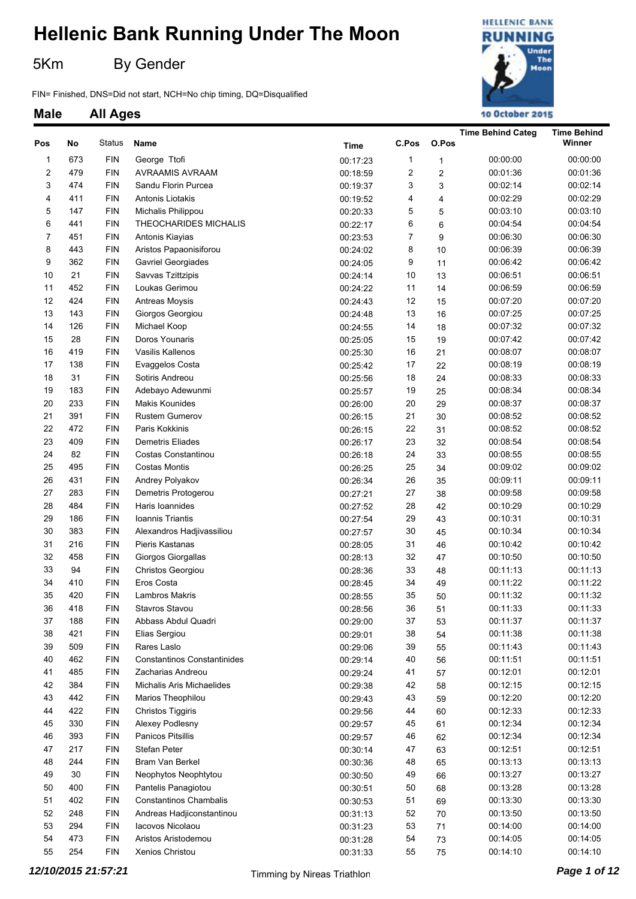5Km By Gender

FIN= Finished, DNS=Did not start, NCH=No chip timing, DQ=Disqualified



|                         |     |            |                                    |             |       |                | <b>Time Behind Categ</b> | <b>Time Behind</b> |
|-------------------------|-----|------------|------------------------------------|-------------|-------|----------------|--------------------------|--------------------|
| Pos                     | No  | Status     | Name                               | <b>Time</b> | C.Pos | O.Pos          |                          | Winner             |
| 1                       | 673 | <b>FIN</b> | George Ttofi                       | 00:17:23    | 1     | 1              | 00:00:00                 | 00:00:00           |
| $\overline{\mathbf{c}}$ | 479 | <b>FIN</b> | AVRAAMIS AVRAAM                    | 00:18:59    | 2     | $\overline{c}$ | 00:01:36                 | 00:01:36           |
| 3                       | 474 | <b>FIN</b> | Sandu Florin Purcea                | 00:19:37    | 3     | 3              | 00:02:14                 | 00:02:14           |
| 4                       | 411 | <b>FIN</b> | Antonis Liotakis                   | 00:19:52    | 4     | 4              | 00:02:29                 | 00:02:29           |
| 5                       | 147 | <b>FIN</b> | Michalis Philippou                 | 00:20:33    | 5     | 5              | 00:03:10                 | 00:03:10           |
| 6                       | 441 | <b>FIN</b> | THEOCHARIDES MICHALIS              | 00:22:17    | 6     | 6              | 00:04:54                 | 00:04:54           |
| $\boldsymbol{7}$        | 451 | <b>FIN</b> | Antonis Kiayias                    | 00:23:53    | 7     | 9              | 00:06:30                 | 00:06:30           |
| 8                       | 443 | <b>FIN</b> | Aristos Papaonisiforou             | 00:24:02    | 8     | 10             | 00:06:39                 | 00:06:39           |
| 9                       | 362 | <b>FIN</b> | Gavriel Georgiades                 | 00:24:05    | 9     | 11             | 00:06:42                 | 00:06:42           |
| 10                      | 21  | <b>FIN</b> | Savvas Tzittzipis                  | 00:24:14    | 10    | 13             | 00:06:51                 | 00:06:51           |
| 11                      | 452 | <b>FIN</b> | Loukas Gerimou                     | 00:24:22    | 11    | 14             | 00:06:59                 | 00:06:59           |
| 12                      | 424 | <b>FIN</b> | Antreas Moysis                     |             | 12    | 15             | 00:07:20                 | 00:07:20           |
| 13                      | 143 | <b>FIN</b> |                                    | 00:24:43    | 13    |                | 00:07:25                 | 00:07:25           |
| 14                      |     |            | Giorgos Georgiou                   | 00:24:48    | 14    | 16             |                          |                    |
|                         | 126 | <b>FIN</b> | Michael Koop                       | 00:24:55    |       | 18             | 00:07:32                 | 00:07:32           |
| 15                      | 28  | <b>FIN</b> | Doros Younaris                     | 00:25:05    | 15    | 19             | 00:07:42                 | 00:07:42           |
| 16                      | 419 | <b>FIN</b> | Vasilis Kallenos                   | 00:25:30    | 16    | 21             | 00:08:07                 | 00:08:07           |
| 17                      | 138 | <b>FIN</b> | Evaggelos Costa                    | 00:25:42    | $17$  | 22             | 00:08:19                 | 00:08:19           |
| 18                      | 31  | <b>FIN</b> | Sotiris Andreou                    | 00:25:56    | 18    | 24             | 00:08:33                 | 00:08:33           |
| 19                      | 183 | <b>FIN</b> | Adebayo Adewunmi                   | 00:25:57    | 19    | 25             | 00:08:34                 | 00:08:34           |
| 20                      | 233 | <b>FIN</b> | Makis Kounides                     | 00:26:00    | 20    | 29             | 00:08:37                 | 00:08:37           |
| 21                      | 391 | <b>FIN</b> | Rustem Gumerov                     | 00:26:15    | 21    | 30             | 00:08:52                 | 00:08:52           |
| 22                      | 472 | <b>FIN</b> | Paris Kokkinis                     | 00:26:15    | 22    | 31             | 00:08:52                 | 00:08:52           |
| 23                      | 409 | <b>FIN</b> | <b>Demetris Eliades</b>            | 00:26:17    | 23    | 32             | 00:08:54                 | 00:08:54           |
| 24                      | 82  | <b>FIN</b> | Costas Constantinou                | 00:26:18    | 24    | 33             | 00:08:55                 | 00:08:55           |
| 25                      | 495 | <b>FIN</b> | <b>Costas Montis</b>               | 00:26:25    | 25    | 34             | 00:09:02                 | 00:09:02           |
| 26                      | 431 | <b>FIN</b> | Andrey Polyakov                    | 00:26:34    | 26    | 35             | 00:09:11                 | 00:09:11           |
| 27                      | 283 | <b>FIN</b> | Demetris Protogerou                | 00:27:21    | 27    | 38             | 00:09:58                 | 00:09:58           |
| 28                      | 484 | <b>FIN</b> | Haris Ioannides                    | 00:27:52    | 28    | 42             | 00:10:29                 | 00:10:29           |
| 29                      | 186 | <b>FIN</b> | Ioannis Triantis                   | 00:27:54    | 29    | 43             | 00:10:31                 | 00:10:31           |
| 30                      | 383 | <b>FIN</b> | Alexandros Hadjivassiliou          | 00:27:57    | 30    | 45             | 00:10:34                 | 00:10:34           |
| 31                      | 216 | <b>FIN</b> | Pieris Kastanas                    | 00:28:05    | 31    | 46             | 00:10:42                 | 00:10:42           |
| 32                      | 458 | <b>FIN</b> | Giorgos Giorgallas                 | 00:28:13    | 32    | 47             | 00:10:50                 | 00:10:50           |
| 33                      | 94  | <b>FIN</b> | Christos Georgiou                  | 00:28:36    | 33    | 48             | 00:11:13                 | 00:11:13           |
| 34                      | 410 | <b>FIN</b> | Eros Costa                         | 00:28:45    | 34    | 49             | 00:11:22                 | 00:11:22           |
| 35                      | 420 | <b>FIN</b> | Lambros Makris                     | 00:28:55    | 35    | 50             | 00:11:32                 | 00:11:32           |
| 36                      | 418 | <b>FIN</b> | Stavros Stavou                     | 00:28:56    | 36    | 51             | 00:11:33                 | 00:11:33           |
| 37                      | 188 | <b>FIN</b> | Abbass Abdul Quadri                | 00:29:00    | 37    | 53             | 00:11:37                 | 00:11:37           |
| 38                      | 421 | <b>FIN</b> | Elias Sergiou                      | 00:29:01    | 38    | 54             | 00:11:38                 | 00:11:38           |
| 39                      | 509 | <b>FIN</b> | Rares Laslo                        | 00:29:06    | 39    | 55             | 00:11:43                 | 00:11:43           |
| 40                      | 462 | <b>FIN</b> | <b>Constantinos Constantinides</b> | 00:29:14    | 40    | 56             | 00:11:51                 | 00:11:51           |
| 41                      | 485 | <b>FIN</b> | Zacharias Andreou                  | 00:29:24    | 41    | 57             | 00:12:01                 | 00:12:01           |
| 42                      | 384 | <b>FIN</b> | Michalis Aris Michaelides          | 00:29:38    | 42    | 58             | 00:12:15                 | 00:12:15           |
| 43                      | 442 | <b>FIN</b> | Marios Theophilou                  | 00:29:43    | 43    | 59             | 00:12:20                 | 00:12:20           |
| 44                      | 422 | <b>FIN</b> | Christos Tiggiris                  | 00:29:56    | 44    | 60             | 00:12:33                 | 00:12:33           |
| 45                      | 330 | <b>FIN</b> | Alexey Podlesny                    | 00:29:57    | 45    | 61             | 00:12:34                 | 00:12:34           |
| 46                      | 393 | <b>FIN</b> | Panicos Pitsillis                  | 00:29:57    | 46    | 62             | 00:12:34                 | 00:12:34           |
| 47                      | 217 | <b>FIN</b> | Stefan Peter                       | 00:30:14    | 47    | 63             | 00:12:51                 | 00:12:51           |
| 48                      | 244 | <b>FIN</b> | Bram Van Berkel                    | 00:30:36    | 48    | 65             | 00:13:13                 | 00:13:13           |
| 49                      | 30  | <b>FIN</b> | Neophytos Neophtytou               | 00:30:50    | 49    | 66             | 00:13:27                 | 00:13:27           |
| 50                      | 400 | <b>FIN</b> | Pantelis Panagiotou                | 00:30:51    | 50    | 68             | 00:13:28                 | 00:13:28           |
| 51                      | 402 | <b>FIN</b> | <b>Constantinos Chambalis</b>      |             | 51    | 69             | 00:13:30                 | 00:13:30           |
| 52                      | 248 | <b>FIN</b> | Andreas Hadjiconstantinou          | 00:30:53    | 52    | 70             | 00:13:50                 | 00:13:50           |
| 53                      | 294 | <b>FIN</b> | Iacovos Nicolaou                   | 00:31:13    | 53    |                | 00:14:00                 | 00:14:00           |
| 54                      | 473 | <b>FIN</b> | Aristos Aristodemou                | 00:31:23    |       | 71             |                          | 00:14:05           |
|                         |     |            |                                    | 00:31:28    | 54    | 73             | 00:14:05                 |                    |
| 55                      | 254 | <b>FIN</b> | Xenios Christou                    | 00:31:33    | 55    | 75             | 00:14:10                 | 00:14:10           |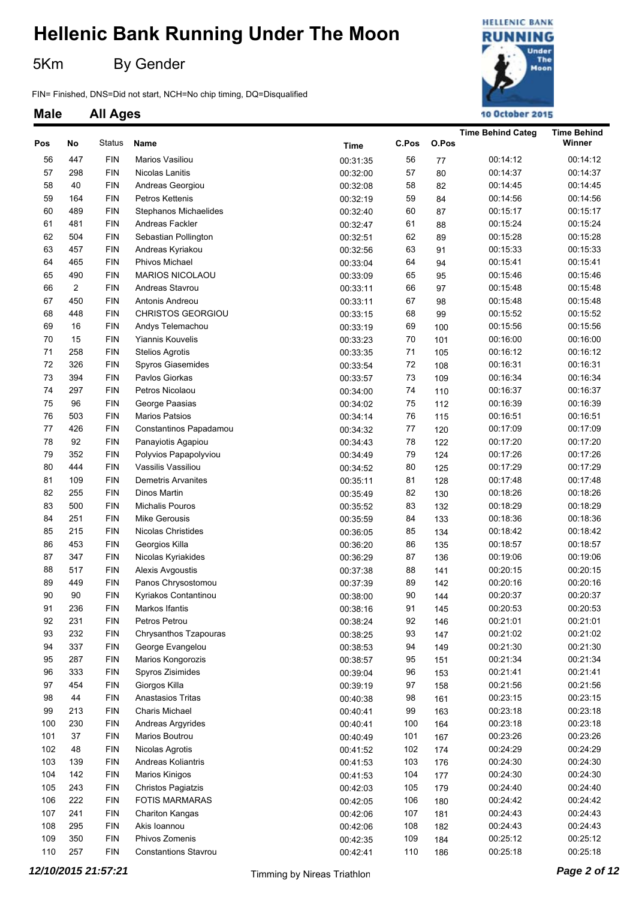5Km By Gender

FIN= Finished, DNS=Did not start, NCH=No chip timing, DQ=Disqualified



|     |                |            |                             |             |       |       | <b>Time Behind Categ</b> | <b>Time Behind</b> |
|-----|----------------|------------|-----------------------------|-------------|-------|-------|--------------------------|--------------------|
| Pos | No             | Status     | Name                        | <b>Time</b> | C.Pos | O.Pos |                          | Winner             |
| 56  | 447            | <b>FIN</b> | Marios Vasiliou             | 00:31:35    | 56    | 77    | 00:14:12                 | 00:14:12           |
| 57  | 298            | <b>FIN</b> | Nicolas Lanitis             | 00:32:00    | 57    | 80    | 00:14:37                 | 00:14:37           |
| 58  | 40             | <b>FIN</b> | Andreas Georgiou            | 00:32:08    | 58    | 82    | 00:14:45                 | 00:14:45           |
| 59  | 164            | <b>FIN</b> | Petros Kettenis             | 00:32:19    | 59    | 84    | 00:14:56                 | 00:14:56           |
| 60  | 489            | <b>FIN</b> | Stephanos Michaelides       | 00:32:40    | 60    | 87    | 00:15:17                 | 00:15:17           |
| 61  | 481            | <b>FIN</b> | Andreas Fackler             | 00:32:47    | 61    | 88    | 00:15:24                 | 00:15:24           |
| 62  | 504            | <b>FIN</b> | Sebastian Pollington        | 00:32:51    | 62    | 89    | 00:15:28                 | 00:15:28           |
| 63  | 457            | <b>FIN</b> | Andreas Kyriakou            | 00:32:56    | 63    | 91    | 00:15:33                 | 00:15:33           |
| 64  | 465            | <b>FIN</b> | <b>Phivos Michael</b>       | 00:33:04    | 64    | 94    | 00:15:41                 | 00:15:41           |
| 65  | 490            | <b>FIN</b> | MARIOS NICOLAOU             | 00:33:09    | 65    | 95    | 00:15:46                 | 00:15:46           |
| 66  | $\overline{c}$ | <b>FIN</b> | Andreas Stavrou             | 00:33:11    | 66    | 97    | 00:15:48                 | 00:15:48           |
| 67  | 450            | <b>FIN</b> | Antonis Andreou             | 00:33:11    | 67    | 98    | 00:15:48                 | 00:15:48           |
| 68  | 448            | <b>FIN</b> | CHRISTOS GEORGIOU           | 00:33:15    | 68    | 99    | 00:15:52                 | 00:15:52           |
| 69  | 16             | <b>FIN</b> | Andys Telemachou            | 00:33:19    | 69    | 100   | 00:15:56                 | 00:15:56           |
| 70  | 15             | <b>FIN</b> | <b>Yiannis Kouvelis</b>     | 00:33:23    | 70    | 101   | 00:16:00                 | 00:16:00           |
| 71  | 258            | <b>FIN</b> | <b>Stelios Agrotis</b>      | 00:33:35    | 71    | 105   | 00:16:12                 | 00:16:12           |
| 72  | 326            | <b>FIN</b> | Spyros Giasemides           | 00:33:54    | 72    | 108   | 00:16:31                 | 00:16:31           |
| 73  | 394            | <b>FIN</b> | Pavlos Giorkas              | 00:33:57    | 73    | 109   | 00:16:34                 | 00:16:34           |
| 74  | 297            | <b>FIN</b> | Petros Nicolaou             | 00:34:00    | 74    | 110   | 00:16:37                 | 00:16:37           |
| 75  | 96             | <b>FIN</b> | George Paasias              | 00:34:02    | 75    | 112   | 00:16:39                 | 00:16:39           |
| 76  | 503            | <b>FIN</b> | Marios Patsios              | 00:34:14    | 76    | 115   | 00:16:51                 | 00:16:51           |
| 77  | 426            | <b>FIN</b> | Constantinos Papadamou      | 00:34:32    | 77    | 120   | 00:17:09                 | 00:17:09           |
| 78  | 92             | <b>FIN</b> | Panayiotis Agapiou          | 00:34:43    | 78    | 122   | 00:17:20                 | 00:17:20           |
| 79  | 352            | <b>FIN</b> | Polyvios Papapolyviou       | 00:34:49    | 79    | 124   | 00:17:26                 | 00:17:26           |
| 80  | 444            | <b>FIN</b> | Vassilis Vassiliou          | 00:34:52    | 80    | 125   | 00:17:29                 | 00:17:29           |
| 81  | 109            | <b>FIN</b> | <b>Demetris Arvanites</b>   | 00:35:11    | 81    | 128   | 00:17:48                 | 00:17:48           |
| 82  | 255            | <b>FIN</b> | Dinos Martin                | 00:35:49    | 82    | 130   | 00:18:26                 | 00:18:26           |
| 83  | 500            | <b>FIN</b> | Michalis Pouros             | 00:35:52    | 83    | 132   | 00:18:29                 | 00:18:29           |
| 84  | 251            | <b>FIN</b> | Mike Gerousis               | 00:35:59    | 84    | 133   | 00:18:36                 | 00:18:36           |
| 85  | 215            | <b>FIN</b> | Nicolas Christides          | 00:36:05    | 85    | 134   | 00:18:42                 | 00:18:42           |
| 86  | 453            | <b>FIN</b> | Georgios Killa              | 00:36:20    | 86    | 135   | 00:18:57                 | 00:18:57           |
| 87  | 347            | <b>FIN</b> | Nicolas Kyriakides          | 00:36:29    | 87    | 136   | 00:19:06                 | 00:19:06           |
| 88  | 517            | <b>FIN</b> | Alexis Avgoustis            | 00:37:38    | 88    | 141   | 00:20:15                 | 00:20:15           |
| 89  | 449            | <b>FIN</b> | Panos Chrysostomou          | 00:37:39    | 89    | 142   | 00:20:16                 | 00:20:16           |
| 90  | 90             | <b>FIN</b> | Kyriakos Contantinou        | 00:38:00    | 90    | 144   | 00:20:37                 | 00:20:37           |
| 91  | 236            | <b>FIN</b> | Markos Ifantis              | 00:38:16    | 91    | 145   | 00:20:53                 | 00:20:53           |
| 92  | 231            | <b>FIN</b> | Petros Petrou               | 00:38:24    | 92    | 146   | 00:21:01                 | 00:21:01           |
| 93  | 232            | <b>FIN</b> | Chrysanthos Tzapouras       | 00:38:25    | 93    | 147   | 00:21:02                 | 00:21:02           |
| 94  | 337            | <b>FIN</b> | George Evangelou            | 00:38:53    | 94    | 149   | 00:21:30                 | 00:21:30           |
| 95  | 287            | <b>FIN</b> | Marios Kongorozis           | 00:38:57    | 95    | 151   | 00:21:34                 | 00:21:34           |
| 96  | 333            | <b>FIN</b> | Spyros Zisimides            | 00:39:04    | 96    | 153   | 00:21:41                 | 00:21:41           |
| 97  | 454            | <b>FIN</b> | Giorgos Killa               | 00:39:19    | 97    | 158   | 00:21:56                 | 00:21:56           |
| 98  | 44             | <b>FIN</b> | Anastasios Tritas           | 00:40:38    | 98    | 161   | 00:23:15                 | 00:23:15           |
| 99  | 213            | <b>FIN</b> | Charis Michael              | 00:40:41    | 99    | 163   | 00:23:18                 | 00:23:18           |
| 100 | 230            | <b>FIN</b> | Andreas Argyrides           | 00:40:41    | 100   | 164   | 00:23:18                 | 00:23:18           |
| 101 | 37             | <b>FIN</b> | Marios Boutrou              | 00:40:49    | 101   | 167   | 00:23:26                 | 00:23:26           |
| 102 | 48             | <b>FIN</b> | Nicolas Agrotis             | 00:41:52    | 102   | 174   | 00:24:29                 | 00:24:29           |
| 103 | 139            | <b>FIN</b> | Andreas Koliantris          | 00:41:53    | 103   | 176   | 00:24:30                 | 00:24:30           |
| 104 | 142            | <b>FIN</b> | Marios Kinigos              | 00:41:53    | 104   | 177   | 00:24:30                 | 00:24:30           |
| 105 | 243            | <b>FIN</b> | Christos Pagiatzis          | 00:42:03    | 105   | 179   | 00:24:40                 | 00:24:40           |
| 106 | 222            | <b>FIN</b> | <b>FOTIS MARMARAS</b>       | 00:42:05    | 106   | 180   | 00:24:42                 | 00:24:42           |
| 107 | 241            | <b>FIN</b> | <b>Chariton Kangas</b>      | 00:42:06    | 107   | 181   | 00:24:43                 | 00:24:43           |
| 108 | 295            | <b>FIN</b> | Akis Ioannou                | 00:42:06    | 108   | 182   | 00:24:43                 | 00:24:43           |
| 109 | 350            | <b>FIN</b> | Phivos Zomenis              | 00:42:35    | 109   | 184   | 00:25:12                 | 00:25:12           |
| 110 | 257            | <b>FIN</b> | <b>Constantions Stavrou</b> | 00:42:41    | 110   | 186   | 00:25:18                 | 00:25:18           |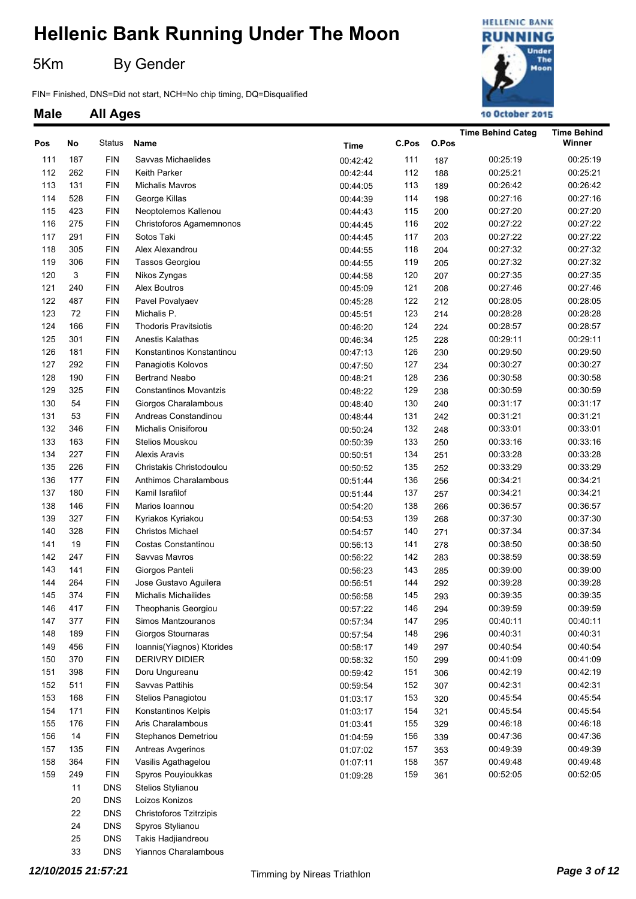5Km By Gender

FIN= Finished, DNS=Did not start, NCH=No chip timing, DQ=Disqualified



#### **Male All Ages**

| <b>Time</b><br><b>FIN</b><br>00:25:19<br>111<br>187<br>Savvas Michaelides<br>00:42:42<br>111<br>00:25:19<br>187<br>112<br>262<br><b>FIN</b><br>112<br>00:25:21<br>00:25:21<br><b>Keith Parker</b><br>188<br>00:42:44<br>113<br>131<br><b>FIN</b><br>113<br>00:26:42<br>00:26:42<br>Michalis Mavros<br>189<br>00:44:05<br>114<br>528<br><b>FIN</b><br>114<br>00:27:16<br>00:27:16<br>George Killas<br>198<br>00:44:39<br>115<br>423<br><b>FIN</b><br>115<br>00:27:20<br>00:27:20<br>Neoptolemos Kallenou<br>200<br>00:44:43<br>116<br>275<br><b>FIN</b><br>116<br>00:27:22<br>00:27:22<br>Christoforos Agamemnonos<br>202<br>00:44:45<br>117<br>291<br><b>FIN</b><br>Sotos Taki<br>117<br>00:27:22<br>00:27:22<br>203<br>00:44:45<br>118<br>305<br><b>FIN</b><br>118<br>00:27:32<br>00:27:32<br>Alex Alexandrou<br>204<br>00:44:55<br>119<br>306<br><b>FIN</b><br>119<br>00:27:32<br>00:27:32<br><b>Tassos Georgiou</b><br>205<br>00:44:55<br>3<br>120<br><b>FIN</b><br>120<br>00:27:35<br>00:27:35<br>Nikos Zyngas<br>207<br>00:44:58<br>121<br>240<br><b>FIN</b><br>121<br>00:27:46<br>00:27:46<br>Alex Boutros<br>208<br>00:45:09<br>122<br>487<br><b>FIN</b><br>122<br>00:28:05<br>00:28:05<br>Pavel Povalyaev<br>212<br>00:45:28<br>123<br>72<br><b>FIN</b><br>123<br>00:28:28<br>00:28:28<br>Michalis P.<br>214<br>00:45:51<br>124<br>166<br><b>FIN</b><br><b>Thodoris Pravitsiotis</b><br>124<br>00:28:57<br>00:28:57<br>224<br>00:46:20<br>125<br>301<br><b>FIN</b><br>125<br>00:29:11<br>00:29:11<br>Anestis Kalathas<br>228<br>00:46:34<br>126<br>181<br><b>FIN</b><br>126<br>00:29:50<br>00:29:50<br>Konstantinos Konstantinou<br>230<br>00:47:13<br>127<br>292<br><b>FIN</b><br>127<br>00:30:27<br>00:30:27<br>Panagiotis Kolovos<br>234<br>00:47:50<br>128<br>190<br><b>FIN</b><br>128<br>00:30:58<br>00:30:58<br><b>Bertrand Neabo</b><br>236<br>00:48:21<br>129<br>325<br><b>FIN</b><br>129<br>00:30:59<br><b>Constantinos Movantzis</b><br>238<br>00:30:59<br>00:48:22<br>130<br>54<br><b>FIN</b><br>130<br>00:31:17<br>Giorgos Charalambous<br>240<br>00:31:17<br>00:48:40<br>131<br>53<br><b>FIN</b><br>131<br>00:31:21<br>00:31:21<br>Andreas Constandinou<br>242<br>00:48:44<br>132<br>346<br><b>FIN</b><br>Michalis Onisiforou<br>132<br>00:33:01<br>00:33:01<br>248<br>00:50:24<br>133<br>163<br><b>FIN</b><br>133<br>00:33:16<br>00:33:16<br>Stelios Mouskou<br>250<br>00:50:39<br>134<br>227<br><b>FIN</b><br>134<br>00:33:28<br>00:33:28<br><b>Alexis Aravis</b><br>251<br>00:50:51<br>135<br>226<br><b>FIN</b><br>135<br>00:33:29<br>00:33:29<br>Christakis Christodoulou<br>252<br>00:50:52<br>136<br>177<br><b>FIN</b><br>Anthimos Charalambous<br>136<br>00:34:21<br>00:34:21<br>256<br>00:51:44<br>137<br>180<br><b>FIN</b><br>Kamil Israfilof<br>137<br>00:34:21<br>00:34:21<br>257<br>00:51:44<br>138<br>146<br><b>FIN</b><br>138<br>00:36:57<br>Marios Ioannou<br>266<br>00:36:57<br>00:54:20<br>139<br>327<br><b>FIN</b><br>139<br>00:37:30<br>Kyriakos Kyriakou<br>268<br>00:37:30<br>00:54:53<br>140<br>328<br><b>FIN</b><br>140<br>00:37:34<br>Christos Michael<br>271<br>00:37:34<br>00:54:57<br>141<br>19<br><b>FIN</b><br>141<br>00:38:50<br>Costas Constantinou<br>278<br>00:38:50<br>00:56:13<br>142<br>247<br><b>FIN</b><br>142<br>00:38:59<br>00:38:59<br>Savvas Mavros<br>283<br>00:56:22<br>143<br><b>FIN</b><br>Giorgos Panteli<br>143<br>00:39:00<br>141<br>00:39:00<br>285<br>00:56:23<br>144<br>264<br><b>FIN</b><br>00:39:28<br>Jose Gustavo Aguilera<br>144<br>292<br>00:39:28<br>00:56:51<br>145<br><b>FIN</b><br>00:39:35<br>374<br><b>Michalis Michailides</b><br>145<br>00:39:35<br>293<br>00:56:58<br>146<br><b>FIN</b><br>Theophanis Georgiou<br>00:39:59<br>417<br>146<br>00:39:59<br>00:57:22<br>294<br>377<br><b>FIN</b><br>00:40:11<br>147<br>147<br>00:40:11<br>Simos Mantzouranos<br>295<br>00:57:34<br>148<br><b>FIN</b><br>Giorgos Stournaras<br>00:40:31<br>189<br>148<br>00:40:31<br>296<br>00:57:54<br>149<br><b>FIN</b><br>00:40:54<br>456<br>Ioannis(Yiagnos) Ktorides<br>149<br>00:40:54<br>297<br>00:58:17<br><b>FIN</b><br>00:41:09<br>150<br>370<br><b>DERIVRY DIDIER</b><br>150<br>00:41:09<br>299<br>00:58:32<br><b>FIN</b><br>00:42:19<br>151<br>398<br>Doru Ungureanu<br>151<br>00:42:19<br>306<br>00:59:42<br>152<br>511<br><b>FIN</b><br>152<br>00:42:31<br>Savvas Pattihis<br>00:42:31<br>307<br>00:59:54<br>153<br><b>FIN</b><br>00:45:54<br>168<br>Stelios Panagiotou<br>153<br>00:45:54<br>320<br>01:03:17<br><b>FIN</b><br>154<br>171<br>Konstantinos Kelpis<br>154<br>00:45:54<br>00:45:54<br>321<br>01:03:17<br><b>FIN</b><br>155<br>176<br>Aris Charalambous<br>155<br>00:46:18<br>00:46:18<br>329<br>01:03:41<br>156<br><b>FIN</b><br>00:47:36<br>14<br>Stephanos Demetriou<br>156<br>00:47:36<br>339<br>01:04:59<br>157<br><b>FIN</b><br>00:49:39<br>135<br>Antreas Avgerinos<br>157<br>00:49:39<br>353<br>01:07:02<br>158<br><b>FIN</b><br>00:49:48<br>364<br>Vasilis Agathagelou<br>158<br>00:49:48<br>357<br>01:07:11<br>159<br>$\mathsf{FIN}$<br>00:52:05<br>249<br>Spyros Pouyioukkas<br>159<br>00:52:05<br>361<br>01:09:28<br><b>DNS</b><br>11<br>Stelios Stylianou<br><b>DNS</b><br>Loizos Konizos<br>20<br>22<br><b>DNS</b><br>Christoforos Tzitrzipis<br>24<br><b>DNS</b><br>Spyros Stylianou | Pos | No | Status     | Name               | C.Pos | O.Pos | <b>Time Behind Categ</b> | <b>Time Behind</b><br>Winner |
|--------------------------------------------------------------------------------------------------------------------------------------------------------------------------------------------------------------------------------------------------------------------------------------------------------------------------------------------------------------------------------------------------------------------------------------------------------------------------------------------------------------------------------------------------------------------------------------------------------------------------------------------------------------------------------------------------------------------------------------------------------------------------------------------------------------------------------------------------------------------------------------------------------------------------------------------------------------------------------------------------------------------------------------------------------------------------------------------------------------------------------------------------------------------------------------------------------------------------------------------------------------------------------------------------------------------------------------------------------------------------------------------------------------------------------------------------------------------------------------------------------------------------------------------------------------------------------------------------------------------------------------------------------------------------------------------------------------------------------------------------------------------------------------------------------------------------------------------------------------------------------------------------------------------------------------------------------------------------------------------------------------------------------------------------------------------------------------------------------------------------------------------------------------------------------------------------------------------------------------------------------------------------------------------------------------------------------------------------------------------------------------------------------------------------------------------------------------------------------------------------------------------------------------------------------------------------------------------------------------------------------------------------------------------------------------------------------------------------------------------------------------------------------------------------------------------------------------------------------------------------------------------------------------------------------------------------------------------------------------------------------------------------------------------------------------------------------------------------------------------------------------------------------------------------------------------------------------------------------------------------------------------------------------------------------------------------------------------------------------------------------------------------------------------------------------------------------------------------------------------------------------------------------------------------------------------------------------------------------------------------------------------------------------------------------------------------------------------------------------------------------------------------------------------------------------------------------------------------------------------------------------------------------------------------------------------------------------------------------------------------------------------------------------------------------------------------------------------------------------------------------------------------------------------------------------------------------------------------------------------------------------------------------------------------------------------------------------------------------------------------------------------------------------------------------------------------------------------------------------------------------------------------------------------------------------------------------------------------------------------------------------------------------------------------------------------------------------------------------------------------------------------------------------------------------------------------------------------------------------------------------------------------------------------------------------------------------------------------------------------------------------------------------------------------------------------------------------------------------------------------------------------------------------------------------------------------------------------------------------------------------------------------------------------------|-----|----|------------|--------------------|-------|-------|--------------------------|------------------------------|
|                                                                                                                                                                                                                                                                                                                                                                                                                                                                                                                                                                                                                                                                                                                                                                                                                                                                                                                                                                                                                                                                                                                                                                                                                                                                                                                                                                                                                                                                                                                                                                                                                                                                                                                                                                                                                                                                                                                                                                                                                                                                                                                                                                                                                                                                                                                                                                                                                                                                                                                                                                                                                                                                                                                                                                                                                                                                                                                                                                                                                                                                                                                                                                                                                                                                                                                                                                                                                                                                                                                                                                                                                                                                                                                                                                                                                                                                                                                                                                                                                                                                                                                                                                                                                                                                                                                                                                                                                                                                                                                                                                                                                                                                                                                                                                                                                                                                                                                                                                                                                                                                                                                                                                                                                                                                                                  |     |    |            |                    |       |       |                          |                              |
|                                                                                                                                                                                                                                                                                                                                                                                                                                                                                                                                                                                                                                                                                                                                                                                                                                                                                                                                                                                                                                                                                                                                                                                                                                                                                                                                                                                                                                                                                                                                                                                                                                                                                                                                                                                                                                                                                                                                                                                                                                                                                                                                                                                                                                                                                                                                                                                                                                                                                                                                                                                                                                                                                                                                                                                                                                                                                                                                                                                                                                                                                                                                                                                                                                                                                                                                                                                                                                                                                                                                                                                                                                                                                                                                                                                                                                                                                                                                                                                                                                                                                                                                                                                                                                                                                                                                                                                                                                                                                                                                                                                                                                                                                                                                                                                                                                                                                                                                                                                                                                                                                                                                                                                                                                                                                                  |     |    |            |                    |       |       |                          |                              |
|                                                                                                                                                                                                                                                                                                                                                                                                                                                                                                                                                                                                                                                                                                                                                                                                                                                                                                                                                                                                                                                                                                                                                                                                                                                                                                                                                                                                                                                                                                                                                                                                                                                                                                                                                                                                                                                                                                                                                                                                                                                                                                                                                                                                                                                                                                                                                                                                                                                                                                                                                                                                                                                                                                                                                                                                                                                                                                                                                                                                                                                                                                                                                                                                                                                                                                                                                                                                                                                                                                                                                                                                                                                                                                                                                                                                                                                                                                                                                                                                                                                                                                                                                                                                                                                                                                                                                                                                                                                                                                                                                                                                                                                                                                                                                                                                                                                                                                                                                                                                                                                                                                                                                                                                                                                                                                  |     |    |            |                    |       |       |                          |                              |
|                                                                                                                                                                                                                                                                                                                                                                                                                                                                                                                                                                                                                                                                                                                                                                                                                                                                                                                                                                                                                                                                                                                                                                                                                                                                                                                                                                                                                                                                                                                                                                                                                                                                                                                                                                                                                                                                                                                                                                                                                                                                                                                                                                                                                                                                                                                                                                                                                                                                                                                                                                                                                                                                                                                                                                                                                                                                                                                                                                                                                                                                                                                                                                                                                                                                                                                                                                                                                                                                                                                                                                                                                                                                                                                                                                                                                                                                                                                                                                                                                                                                                                                                                                                                                                                                                                                                                                                                                                                                                                                                                                                                                                                                                                                                                                                                                                                                                                                                                                                                                                                                                                                                                                                                                                                                                                  |     |    |            |                    |       |       |                          |                              |
|                                                                                                                                                                                                                                                                                                                                                                                                                                                                                                                                                                                                                                                                                                                                                                                                                                                                                                                                                                                                                                                                                                                                                                                                                                                                                                                                                                                                                                                                                                                                                                                                                                                                                                                                                                                                                                                                                                                                                                                                                                                                                                                                                                                                                                                                                                                                                                                                                                                                                                                                                                                                                                                                                                                                                                                                                                                                                                                                                                                                                                                                                                                                                                                                                                                                                                                                                                                                                                                                                                                                                                                                                                                                                                                                                                                                                                                                                                                                                                                                                                                                                                                                                                                                                                                                                                                                                                                                                                                                                                                                                                                                                                                                                                                                                                                                                                                                                                                                                                                                                                                                                                                                                                                                                                                                                                  |     |    |            |                    |       |       |                          |                              |
|                                                                                                                                                                                                                                                                                                                                                                                                                                                                                                                                                                                                                                                                                                                                                                                                                                                                                                                                                                                                                                                                                                                                                                                                                                                                                                                                                                                                                                                                                                                                                                                                                                                                                                                                                                                                                                                                                                                                                                                                                                                                                                                                                                                                                                                                                                                                                                                                                                                                                                                                                                                                                                                                                                                                                                                                                                                                                                                                                                                                                                                                                                                                                                                                                                                                                                                                                                                                                                                                                                                                                                                                                                                                                                                                                                                                                                                                                                                                                                                                                                                                                                                                                                                                                                                                                                                                                                                                                                                                                                                                                                                                                                                                                                                                                                                                                                                                                                                                                                                                                                                                                                                                                                                                                                                                                                  |     |    |            |                    |       |       |                          |                              |
|                                                                                                                                                                                                                                                                                                                                                                                                                                                                                                                                                                                                                                                                                                                                                                                                                                                                                                                                                                                                                                                                                                                                                                                                                                                                                                                                                                                                                                                                                                                                                                                                                                                                                                                                                                                                                                                                                                                                                                                                                                                                                                                                                                                                                                                                                                                                                                                                                                                                                                                                                                                                                                                                                                                                                                                                                                                                                                                                                                                                                                                                                                                                                                                                                                                                                                                                                                                                                                                                                                                                                                                                                                                                                                                                                                                                                                                                                                                                                                                                                                                                                                                                                                                                                                                                                                                                                                                                                                                                                                                                                                                                                                                                                                                                                                                                                                                                                                                                                                                                                                                                                                                                                                                                                                                                                                  |     |    |            |                    |       |       |                          |                              |
|                                                                                                                                                                                                                                                                                                                                                                                                                                                                                                                                                                                                                                                                                                                                                                                                                                                                                                                                                                                                                                                                                                                                                                                                                                                                                                                                                                                                                                                                                                                                                                                                                                                                                                                                                                                                                                                                                                                                                                                                                                                                                                                                                                                                                                                                                                                                                                                                                                                                                                                                                                                                                                                                                                                                                                                                                                                                                                                                                                                                                                                                                                                                                                                                                                                                                                                                                                                                                                                                                                                                                                                                                                                                                                                                                                                                                                                                                                                                                                                                                                                                                                                                                                                                                                                                                                                                                                                                                                                                                                                                                                                                                                                                                                                                                                                                                                                                                                                                                                                                                                                                                                                                                                                                                                                                                                  |     |    |            |                    |       |       |                          |                              |
|                                                                                                                                                                                                                                                                                                                                                                                                                                                                                                                                                                                                                                                                                                                                                                                                                                                                                                                                                                                                                                                                                                                                                                                                                                                                                                                                                                                                                                                                                                                                                                                                                                                                                                                                                                                                                                                                                                                                                                                                                                                                                                                                                                                                                                                                                                                                                                                                                                                                                                                                                                                                                                                                                                                                                                                                                                                                                                                                                                                                                                                                                                                                                                                                                                                                                                                                                                                                                                                                                                                                                                                                                                                                                                                                                                                                                                                                                                                                                                                                                                                                                                                                                                                                                                                                                                                                                                                                                                                                                                                                                                                                                                                                                                                                                                                                                                                                                                                                                                                                                                                                                                                                                                                                                                                                                                  |     |    |            |                    |       |       |                          |                              |
|                                                                                                                                                                                                                                                                                                                                                                                                                                                                                                                                                                                                                                                                                                                                                                                                                                                                                                                                                                                                                                                                                                                                                                                                                                                                                                                                                                                                                                                                                                                                                                                                                                                                                                                                                                                                                                                                                                                                                                                                                                                                                                                                                                                                                                                                                                                                                                                                                                                                                                                                                                                                                                                                                                                                                                                                                                                                                                                                                                                                                                                                                                                                                                                                                                                                                                                                                                                                                                                                                                                                                                                                                                                                                                                                                                                                                                                                                                                                                                                                                                                                                                                                                                                                                                                                                                                                                                                                                                                                                                                                                                                                                                                                                                                                                                                                                                                                                                                                                                                                                                                                                                                                                                                                                                                                                                  |     |    |            |                    |       |       |                          |                              |
|                                                                                                                                                                                                                                                                                                                                                                                                                                                                                                                                                                                                                                                                                                                                                                                                                                                                                                                                                                                                                                                                                                                                                                                                                                                                                                                                                                                                                                                                                                                                                                                                                                                                                                                                                                                                                                                                                                                                                                                                                                                                                                                                                                                                                                                                                                                                                                                                                                                                                                                                                                                                                                                                                                                                                                                                                                                                                                                                                                                                                                                                                                                                                                                                                                                                                                                                                                                                                                                                                                                                                                                                                                                                                                                                                                                                                                                                                                                                                                                                                                                                                                                                                                                                                                                                                                                                                                                                                                                                                                                                                                                                                                                                                                                                                                                                                                                                                                                                                                                                                                                                                                                                                                                                                                                                                                  |     |    |            |                    |       |       |                          |                              |
|                                                                                                                                                                                                                                                                                                                                                                                                                                                                                                                                                                                                                                                                                                                                                                                                                                                                                                                                                                                                                                                                                                                                                                                                                                                                                                                                                                                                                                                                                                                                                                                                                                                                                                                                                                                                                                                                                                                                                                                                                                                                                                                                                                                                                                                                                                                                                                                                                                                                                                                                                                                                                                                                                                                                                                                                                                                                                                                                                                                                                                                                                                                                                                                                                                                                                                                                                                                                                                                                                                                                                                                                                                                                                                                                                                                                                                                                                                                                                                                                                                                                                                                                                                                                                                                                                                                                                                                                                                                                                                                                                                                                                                                                                                                                                                                                                                                                                                                                                                                                                                                                                                                                                                                                                                                                                                  |     |    |            |                    |       |       |                          |                              |
|                                                                                                                                                                                                                                                                                                                                                                                                                                                                                                                                                                                                                                                                                                                                                                                                                                                                                                                                                                                                                                                                                                                                                                                                                                                                                                                                                                                                                                                                                                                                                                                                                                                                                                                                                                                                                                                                                                                                                                                                                                                                                                                                                                                                                                                                                                                                                                                                                                                                                                                                                                                                                                                                                                                                                                                                                                                                                                                                                                                                                                                                                                                                                                                                                                                                                                                                                                                                                                                                                                                                                                                                                                                                                                                                                                                                                                                                                                                                                                                                                                                                                                                                                                                                                                                                                                                                                                                                                                                                                                                                                                                                                                                                                                                                                                                                                                                                                                                                                                                                                                                                                                                                                                                                                                                                                                  |     |    |            |                    |       |       |                          |                              |
|                                                                                                                                                                                                                                                                                                                                                                                                                                                                                                                                                                                                                                                                                                                                                                                                                                                                                                                                                                                                                                                                                                                                                                                                                                                                                                                                                                                                                                                                                                                                                                                                                                                                                                                                                                                                                                                                                                                                                                                                                                                                                                                                                                                                                                                                                                                                                                                                                                                                                                                                                                                                                                                                                                                                                                                                                                                                                                                                                                                                                                                                                                                                                                                                                                                                                                                                                                                                                                                                                                                                                                                                                                                                                                                                                                                                                                                                                                                                                                                                                                                                                                                                                                                                                                                                                                                                                                                                                                                                                                                                                                                                                                                                                                                                                                                                                                                                                                                                                                                                                                                                                                                                                                                                                                                                                                  |     |    |            |                    |       |       |                          |                              |
|                                                                                                                                                                                                                                                                                                                                                                                                                                                                                                                                                                                                                                                                                                                                                                                                                                                                                                                                                                                                                                                                                                                                                                                                                                                                                                                                                                                                                                                                                                                                                                                                                                                                                                                                                                                                                                                                                                                                                                                                                                                                                                                                                                                                                                                                                                                                                                                                                                                                                                                                                                                                                                                                                                                                                                                                                                                                                                                                                                                                                                                                                                                                                                                                                                                                                                                                                                                                                                                                                                                                                                                                                                                                                                                                                                                                                                                                                                                                                                                                                                                                                                                                                                                                                                                                                                                                                                                                                                                                                                                                                                                                                                                                                                                                                                                                                                                                                                                                                                                                                                                                                                                                                                                                                                                                                                  |     |    |            |                    |       |       |                          |                              |
|                                                                                                                                                                                                                                                                                                                                                                                                                                                                                                                                                                                                                                                                                                                                                                                                                                                                                                                                                                                                                                                                                                                                                                                                                                                                                                                                                                                                                                                                                                                                                                                                                                                                                                                                                                                                                                                                                                                                                                                                                                                                                                                                                                                                                                                                                                                                                                                                                                                                                                                                                                                                                                                                                                                                                                                                                                                                                                                                                                                                                                                                                                                                                                                                                                                                                                                                                                                                                                                                                                                                                                                                                                                                                                                                                                                                                                                                                                                                                                                                                                                                                                                                                                                                                                                                                                                                                                                                                                                                                                                                                                                                                                                                                                                                                                                                                                                                                                                                                                                                                                                                                                                                                                                                                                                                                                  |     |    |            |                    |       |       |                          |                              |
|                                                                                                                                                                                                                                                                                                                                                                                                                                                                                                                                                                                                                                                                                                                                                                                                                                                                                                                                                                                                                                                                                                                                                                                                                                                                                                                                                                                                                                                                                                                                                                                                                                                                                                                                                                                                                                                                                                                                                                                                                                                                                                                                                                                                                                                                                                                                                                                                                                                                                                                                                                                                                                                                                                                                                                                                                                                                                                                                                                                                                                                                                                                                                                                                                                                                                                                                                                                                                                                                                                                                                                                                                                                                                                                                                                                                                                                                                                                                                                                                                                                                                                                                                                                                                                                                                                                                                                                                                                                                                                                                                                                                                                                                                                                                                                                                                                                                                                                                                                                                                                                                                                                                                                                                                                                                                                  |     |    |            |                    |       |       |                          |                              |
|                                                                                                                                                                                                                                                                                                                                                                                                                                                                                                                                                                                                                                                                                                                                                                                                                                                                                                                                                                                                                                                                                                                                                                                                                                                                                                                                                                                                                                                                                                                                                                                                                                                                                                                                                                                                                                                                                                                                                                                                                                                                                                                                                                                                                                                                                                                                                                                                                                                                                                                                                                                                                                                                                                                                                                                                                                                                                                                                                                                                                                                                                                                                                                                                                                                                                                                                                                                                                                                                                                                                                                                                                                                                                                                                                                                                                                                                                                                                                                                                                                                                                                                                                                                                                                                                                                                                                                                                                                                                                                                                                                                                                                                                                                                                                                                                                                                                                                                                                                                                                                                                                                                                                                                                                                                                                                  |     |    |            |                    |       |       |                          |                              |
|                                                                                                                                                                                                                                                                                                                                                                                                                                                                                                                                                                                                                                                                                                                                                                                                                                                                                                                                                                                                                                                                                                                                                                                                                                                                                                                                                                                                                                                                                                                                                                                                                                                                                                                                                                                                                                                                                                                                                                                                                                                                                                                                                                                                                                                                                                                                                                                                                                                                                                                                                                                                                                                                                                                                                                                                                                                                                                                                                                                                                                                                                                                                                                                                                                                                                                                                                                                                                                                                                                                                                                                                                                                                                                                                                                                                                                                                                                                                                                                                                                                                                                                                                                                                                                                                                                                                                                                                                                                                                                                                                                                                                                                                                                                                                                                                                                                                                                                                                                                                                                                                                                                                                                                                                                                                                                  |     |    |            |                    |       |       |                          |                              |
|                                                                                                                                                                                                                                                                                                                                                                                                                                                                                                                                                                                                                                                                                                                                                                                                                                                                                                                                                                                                                                                                                                                                                                                                                                                                                                                                                                                                                                                                                                                                                                                                                                                                                                                                                                                                                                                                                                                                                                                                                                                                                                                                                                                                                                                                                                                                                                                                                                                                                                                                                                                                                                                                                                                                                                                                                                                                                                                                                                                                                                                                                                                                                                                                                                                                                                                                                                                                                                                                                                                                                                                                                                                                                                                                                                                                                                                                                                                                                                                                                                                                                                                                                                                                                                                                                                                                                                                                                                                                                                                                                                                                                                                                                                                                                                                                                                                                                                                                                                                                                                                                                                                                                                                                                                                                                                  |     |    |            |                    |       |       |                          |                              |
|                                                                                                                                                                                                                                                                                                                                                                                                                                                                                                                                                                                                                                                                                                                                                                                                                                                                                                                                                                                                                                                                                                                                                                                                                                                                                                                                                                                                                                                                                                                                                                                                                                                                                                                                                                                                                                                                                                                                                                                                                                                                                                                                                                                                                                                                                                                                                                                                                                                                                                                                                                                                                                                                                                                                                                                                                                                                                                                                                                                                                                                                                                                                                                                                                                                                                                                                                                                                                                                                                                                                                                                                                                                                                                                                                                                                                                                                                                                                                                                                                                                                                                                                                                                                                                                                                                                                                                                                                                                                                                                                                                                                                                                                                                                                                                                                                                                                                                                                                                                                                                                                                                                                                                                                                                                                                                  |     |    |            |                    |       |       |                          |                              |
|                                                                                                                                                                                                                                                                                                                                                                                                                                                                                                                                                                                                                                                                                                                                                                                                                                                                                                                                                                                                                                                                                                                                                                                                                                                                                                                                                                                                                                                                                                                                                                                                                                                                                                                                                                                                                                                                                                                                                                                                                                                                                                                                                                                                                                                                                                                                                                                                                                                                                                                                                                                                                                                                                                                                                                                                                                                                                                                                                                                                                                                                                                                                                                                                                                                                                                                                                                                                                                                                                                                                                                                                                                                                                                                                                                                                                                                                                                                                                                                                                                                                                                                                                                                                                                                                                                                                                                                                                                                                                                                                                                                                                                                                                                                                                                                                                                                                                                                                                                                                                                                                                                                                                                                                                                                                                                  |     |    |            |                    |       |       |                          |                              |
|                                                                                                                                                                                                                                                                                                                                                                                                                                                                                                                                                                                                                                                                                                                                                                                                                                                                                                                                                                                                                                                                                                                                                                                                                                                                                                                                                                                                                                                                                                                                                                                                                                                                                                                                                                                                                                                                                                                                                                                                                                                                                                                                                                                                                                                                                                                                                                                                                                                                                                                                                                                                                                                                                                                                                                                                                                                                                                                                                                                                                                                                                                                                                                                                                                                                                                                                                                                                                                                                                                                                                                                                                                                                                                                                                                                                                                                                                                                                                                                                                                                                                                                                                                                                                                                                                                                                                                                                                                                                                                                                                                                                                                                                                                                                                                                                                                                                                                                                                                                                                                                                                                                                                                                                                                                                                                  |     |    |            |                    |       |       |                          |                              |
|                                                                                                                                                                                                                                                                                                                                                                                                                                                                                                                                                                                                                                                                                                                                                                                                                                                                                                                                                                                                                                                                                                                                                                                                                                                                                                                                                                                                                                                                                                                                                                                                                                                                                                                                                                                                                                                                                                                                                                                                                                                                                                                                                                                                                                                                                                                                                                                                                                                                                                                                                                                                                                                                                                                                                                                                                                                                                                                                                                                                                                                                                                                                                                                                                                                                                                                                                                                                                                                                                                                                                                                                                                                                                                                                                                                                                                                                                                                                                                                                                                                                                                                                                                                                                                                                                                                                                                                                                                                                                                                                                                                                                                                                                                                                                                                                                                                                                                                                                                                                                                                                                                                                                                                                                                                                                                  |     |    |            |                    |       |       |                          |                              |
|                                                                                                                                                                                                                                                                                                                                                                                                                                                                                                                                                                                                                                                                                                                                                                                                                                                                                                                                                                                                                                                                                                                                                                                                                                                                                                                                                                                                                                                                                                                                                                                                                                                                                                                                                                                                                                                                                                                                                                                                                                                                                                                                                                                                                                                                                                                                                                                                                                                                                                                                                                                                                                                                                                                                                                                                                                                                                                                                                                                                                                                                                                                                                                                                                                                                                                                                                                                                                                                                                                                                                                                                                                                                                                                                                                                                                                                                                                                                                                                                                                                                                                                                                                                                                                                                                                                                                                                                                                                                                                                                                                                                                                                                                                                                                                                                                                                                                                                                                                                                                                                                                                                                                                                                                                                                                                  |     |    |            |                    |       |       |                          |                              |
|                                                                                                                                                                                                                                                                                                                                                                                                                                                                                                                                                                                                                                                                                                                                                                                                                                                                                                                                                                                                                                                                                                                                                                                                                                                                                                                                                                                                                                                                                                                                                                                                                                                                                                                                                                                                                                                                                                                                                                                                                                                                                                                                                                                                                                                                                                                                                                                                                                                                                                                                                                                                                                                                                                                                                                                                                                                                                                                                                                                                                                                                                                                                                                                                                                                                                                                                                                                                                                                                                                                                                                                                                                                                                                                                                                                                                                                                                                                                                                                                                                                                                                                                                                                                                                                                                                                                                                                                                                                                                                                                                                                                                                                                                                                                                                                                                                                                                                                                                                                                                                                                                                                                                                                                                                                                                                  |     |    |            |                    |       |       |                          |                              |
|                                                                                                                                                                                                                                                                                                                                                                                                                                                                                                                                                                                                                                                                                                                                                                                                                                                                                                                                                                                                                                                                                                                                                                                                                                                                                                                                                                                                                                                                                                                                                                                                                                                                                                                                                                                                                                                                                                                                                                                                                                                                                                                                                                                                                                                                                                                                                                                                                                                                                                                                                                                                                                                                                                                                                                                                                                                                                                                                                                                                                                                                                                                                                                                                                                                                                                                                                                                                                                                                                                                                                                                                                                                                                                                                                                                                                                                                                                                                                                                                                                                                                                                                                                                                                                                                                                                                                                                                                                                                                                                                                                                                                                                                                                                                                                                                                                                                                                                                                                                                                                                                                                                                                                                                                                                                                                  |     |    |            |                    |       |       |                          |                              |
|                                                                                                                                                                                                                                                                                                                                                                                                                                                                                                                                                                                                                                                                                                                                                                                                                                                                                                                                                                                                                                                                                                                                                                                                                                                                                                                                                                                                                                                                                                                                                                                                                                                                                                                                                                                                                                                                                                                                                                                                                                                                                                                                                                                                                                                                                                                                                                                                                                                                                                                                                                                                                                                                                                                                                                                                                                                                                                                                                                                                                                                                                                                                                                                                                                                                                                                                                                                                                                                                                                                                                                                                                                                                                                                                                                                                                                                                                                                                                                                                                                                                                                                                                                                                                                                                                                                                                                                                                                                                                                                                                                                                                                                                                                                                                                                                                                                                                                                                                                                                                                                                                                                                                                                                                                                                                                  |     |    |            |                    |       |       |                          |                              |
|                                                                                                                                                                                                                                                                                                                                                                                                                                                                                                                                                                                                                                                                                                                                                                                                                                                                                                                                                                                                                                                                                                                                                                                                                                                                                                                                                                                                                                                                                                                                                                                                                                                                                                                                                                                                                                                                                                                                                                                                                                                                                                                                                                                                                                                                                                                                                                                                                                                                                                                                                                                                                                                                                                                                                                                                                                                                                                                                                                                                                                                                                                                                                                                                                                                                                                                                                                                                                                                                                                                                                                                                                                                                                                                                                                                                                                                                                                                                                                                                                                                                                                                                                                                                                                                                                                                                                                                                                                                                                                                                                                                                                                                                                                                                                                                                                                                                                                                                                                                                                                                                                                                                                                                                                                                                                                  |     |    |            |                    |       |       |                          |                              |
|                                                                                                                                                                                                                                                                                                                                                                                                                                                                                                                                                                                                                                                                                                                                                                                                                                                                                                                                                                                                                                                                                                                                                                                                                                                                                                                                                                                                                                                                                                                                                                                                                                                                                                                                                                                                                                                                                                                                                                                                                                                                                                                                                                                                                                                                                                                                                                                                                                                                                                                                                                                                                                                                                                                                                                                                                                                                                                                                                                                                                                                                                                                                                                                                                                                                                                                                                                                                                                                                                                                                                                                                                                                                                                                                                                                                                                                                                                                                                                                                                                                                                                                                                                                                                                                                                                                                                                                                                                                                                                                                                                                                                                                                                                                                                                                                                                                                                                                                                                                                                                                                                                                                                                                                                                                                                                  |     |    |            |                    |       |       |                          |                              |
|                                                                                                                                                                                                                                                                                                                                                                                                                                                                                                                                                                                                                                                                                                                                                                                                                                                                                                                                                                                                                                                                                                                                                                                                                                                                                                                                                                                                                                                                                                                                                                                                                                                                                                                                                                                                                                                                                                                                                                                                                                                                                                                                                                                                                                                                                                                                                                                                                                                                                                                                                                                                                                                                                                                                                                                                                                                                                                                                                                                                                                                                                                                                                                                                                                                                                                                                                                                                                                                                                                                                                                                                                                                                                                                                                                                                                                                                                                                                                                                                                                                                                                                                                                                                                                                                                                                                                                                                                                                                                                                                                                                                                                                                                                                                                                                                                                                                                                                                                                                                                                                                                                                                                                                                                                                                                                  |     |    |            |                    |       |       |                          |                              |
|                                                                                                                                                                                                                                                                                                                                                                                                                                                                                                                                                                                                                                                                                                                                                                                                                                                                                                                                                                                                                                                                                                                                                                                                                                                                                                                                                                                                                                                                                                                                                                                                                                                                                                                                                                                                                                                                                                                                                                                                                                                                                                                                                                                                                                                                                                                                                                                                                                                                                                                                                                                                                                                                                                                                                                                                                                                                                                                                                                                                                                                                                                                                                                                                                                                                                                                                                                                                                                                                                                                                                                                                                                                                                                                                                                                                                                                                                                                                                                                                                                                                                                                                                                                                                                                                                                                                                                                                                                                                                                                                                                                                                                                                                                                                                                                                                                                                                                                                                                                                                                                                                                                                                                                                                                                                                                  |     |    |            |                    |       |       |                          |                              |
|                                                                                                                                                                                                                                                                                                                                                                                                                                                                                                                                                                                                                                                                                                                                                                                                                                                                                                                                                                                                                                                                                                                                                                                                                                                                                                                                                                                                                                                                                                                                                                                                                                                                                                                                                                                                                                                                                                                                                                                                                                                                                                                                                                                                                                                                                                                                                                                                                                                                                                                                                                                                                                                                                                                                                                                                                                                                                                                                                                                                                                                                                                                                                                                                                                                                                                                                                                                                                                                                                                                                                                                                                                                                                                                                                                                                                                                                                                                                                                                                                                                                                                                                                                                                                                                                                                                                                                                                                                                                                                                                                                                                                                                                                                                                                                                                                                                                                                                                                                                                                                                                                                                                                                                                                                                                                                  |     |    |            |                    |       |       |                          |                              |
|                                                                                                                                                                                                                                                                                                                                                                                                                                                                                                                                                                                                                                                                                                                                                                                                                                                                                                                                                                                                                                                                                                                                                                                                                                                                                                                                                                                                                                                                                                                                                                                                                                                                                                                                                                                                                                                                                                                                                                                                                                                                                                                                                                                                                                                                                                                                                                                                                                                                                                                                                                                                                                                                                                                                                                                                                                                                                                                                                                                                                                                                                                                                                                                                                                                                                                                                                                                                                                                                                                                                                                                                                                                                                                                                                                                                                                                                                                                                                                                                                                                                                                                                                                                                                                                                                                                                                                                                                                                                                                                                                                                                                                                                                                                                                                                                                                                                                                                                                                                                                                                                                                                                                                                                                                                                                                  |     |    |            |                    |       |       |                          |                              |
|                                                                                                                                                                                                                                                                                                                                                                                                                                                                                                                                                                                                                                                                                                                                                                                                                                                                                                                                                                                                                                                                                                                                                                                                                                                                                                                                                                                                                                                                                                                                                                                                                                                                                                                                                                                                                                                                                                                                                                                                                                                                                                                                                                                                                                                                                                                                                                                                                                                                                                                                                                                                                                                                                                                                                                                                                                                                                                                                                                                                                                                                                                                                                                                                                                                                                                                                                                                                                                                                                                                                                                                                                                                                                                                                                                                                                                                                                                                                                                                                                                                                                                                                                                                                                                                                                                                                                                                                                                                                                                                                                                                                                                                                                                                                                                                                                                                                                                                                                                                                                                                                                                                                                                                                                                                                                                  |     |    |            |                    |       |       |                          |                              |
|                                                                                                                                                                                                                                                                                                                                                                                                                                                                                                                                                                                                                                                                                                                                                                                                                                                                                                                                                                                                                                                                                                                                                                                                                                                                                                                                                                                                                                                                                                                                                                                                                                                                                                                                                                                                                                                                                                                                                                                                                                                                                                                                                                                                                                                                                                                                                                                                                                                                                                                                                                                                                                                                                                                                                                                                                                                                                                                                                                                                                                                                                                                                                                                                                                                                                                                                                                                                                                                                                                                                                                                                                                                                                                                                                                                                                                                                                                                                                                                                                                                                                                                                                                                                                                                                                                                                                                                                                                                                                                                                                                                                                                                                                                                                                                                                                                                                                                                                                                                                                                                                                                                                                                                                                                                                                                  |     |    |            |                    |       |       |                          |                              |
|                                                                                                                                                                                                                                                                                                                                                                                                                                                                                                                                                                                                                                                                                                                                                                                                                                                                                                                                                                                                                                                                                                                                                                                                                                                                                                                                                                                                                                                                                                                                                                                                                                                                                                                                                                                                                                                                                                                                                                                                                                                                                                                                                                                                                                                                                                                                                                                                                                                                                                                                                                                                                                                                                                                                                                                                                                                                                                                                                                                                                                                                                                                                                                                                                                                                                                                                                                                                                                                                                                                                                                                                                                                                                                                                                                                                                                                                                                                                                                                                                                                                                                                                                                                                                                                                                                                                                                                                                                                                                                                                                                                                                                                                                                                                                                                                                                                                                                                                                                                                                                                                                                                                                                                                                                                                                                  |     |    |            |                    |       |       |                          |                              |
|                                                                                                                                                                                                                                                                                                                                                                                                                                                                                                                                                                                                                                                                                                                                                                                                                                                                                                                                                                                                                                                                                                                                                                                                                                                                                                                                                                                                                                                                                                                                                                                                                                                                                                                                                                                                                                                                                                                                                                                                                                                                                                                                                                                                                                                                                                                                                                                                                                                                                                                                                                                                                                                                                                                                                                                                                                                                                                                                                                                                                                                                                                                                                                                                                                                                                                                                                                                                                                                                                                                                                                                                                                                                                                                                                                                                                                                                                                                                                                                                                                                                                                                                                                                                                                                                                                                                                                                                                                                                                                                                                                                                                                                                                                                                                                                                                                                                                                                                                                                                                                                                                                                                                                                                                                                                                                  |     |    |            |                    |       |       |                          |                              |
|                                                                                                                                                                                                                                                                                                                                                                                                                                                                                                                                                                                                                                                                                                                                                                                                                                                                                                                                                                                                                                                                                                                                                                                                                                                                                                                                                                                                                                                                                                                                                                                                                                                                                                                                                                                                                                                                                                                                                                                                                                                                                                                                                                                                                                                                                                                                                                                                                                                                                                                                                                                                                                                                                                                                                                                                                                                                                                                                                                                                                                                                                                                                                                                                                                                                                                                                                                                                                                                                                                                                                                                                                                                                                                                                                                                                                                                                                                                                                                                                                                                                                                                                                                                                                                                                                                                                                                                                                                                                                                                                                                                                                                                                                                                                                                                                                                                                                                                                                                                                                                                                                                                                                                                                                                                                                                  |     |    |            |                    |       |       |                          |                              |
|                                                                                                                                                                                                                                                                                                                                                                                                                                                                                                                                                                                                                                                                                                                                                                                                                                                                                                                                                                                                                                                                                                                                                                                                                                                                                                                                                                                                                                                                                                                                                                                                                                                                                                                                                                                                                                                                                                                                                                                                                                                                                                                                                                                                                                                                                                                                                                                                                                                                                                                                                                                                                                                                                                                                                                                                                                                                                                                                                                                                                                                                                                                                                                                                                                                                                                                                                                                                                                                                                                                                                                                                                                                                                                                                                                                                                                                                                                                                                                                                                                                                                                                                                                                                                                                                                                                                                                                                                                                                                                                                                                                                                                                                                                                                                                                                                                                                                                                                                                                                                                                                                                                                                                                                                                                                                                  |     |    |            |                    |       |       |                          |                              |
|                                                                                                                                                                                                                                                                                                                                                                                                                                                                                                                                                                                                                                                                                                                                                                                                                                                                                                                                                                                                                                                                                                                                                                                                                                                                                                                                                                                                                                                                                                                                                                                                                                                                                                                                                                                                                                                                                                                                                                                                                                                                                                                                                                                                                                                                                                                                                                                                                                                                                                                                                                                                                                                                                                                                                                                                                                                                                                                                                                                                                                                                                                                                                                                                                                                                                                                                                                                                                                                                                                                                                                                                                                                                                                                                                                                                                                                                                                                                                                                                                                                                                                                                                                                                                                                                                                                                                                                                                                                                                                                                                                                                                                                                                                                                                                                                                                                                                                                                                                                                                                                                                                                                                                                                                                                                                                  |     |    |            |                    |       |       |                          |                              |
|                                                                                                                                                                                                                                                                                                                                                                                                                                                                                                                                                                                                                                                                                                                                                                                                                                                                                                                                                                                                                                                                                                                                                                                                                                                                                                                                                                                                                                                                                                                                                                                                                                                                                                                                                                                                                                                                                                                                                                                                                                                                                                                                                                                                                                                                                                                                                                                                                                                                                                                                                                                                                                                                                                                                                                                                                                                                                                                                                                                                                                                                                                                                                                                                                                                                                                                                                                                                                                                                                                                                                                                                                                                                                                                                                                                                                                                                                                                                                                                                                                                                                                                                                                                                                                                                                                                                                                                                                                                                                                                                                                                                                                                                                                                                                                                                                                                                                                                                                                                                                                                                                                                                                                                                                                                                                                  |     |    |            |                    |       |       |                          |                              |
|                                                                                                                                                                                                                                                                                                                                                                                                                                                                                                                                                                                                                                                                                                                                                                                                                                                                                                                                                                                                                                                                                                                                                                                                                                                                                                                                                                                                                                                                                                                                                                                                                                                                                                                                                                                                                                                                                                                                                                                                                                                                                                                                                                                                                                                                                                                                                                                                                                                                                                                                                                                                                                                                                                                                                                                                                                                                                                                                                                                                                                                                                                                                                                                                                                                                                                                                                                                                                                                                                                                                                                                                                                                                                                                                                                                                                                                                                                                                                                                                                                                                                                                                                                                                                                                                                                                                                                                                                                                                                                                                                                                                                                                                                                                                                                                                                                                                                                                                                                                                                                                                                                                                                                                                                                                                                                  |     |    |            |                    |       |       |                          |                              |
|                                                                                                                                                                                                                                                                                                                                                                                                                                                                                                                                                                                                                                                                                                                                                                                                                                                                                                                                                                                                                                                                                                                                                                                                                                                                                                                                                                                                                                                                                                                                                                                                                                                                                                                                                                                                                                                                                                                                                                                                                                                                                                                                                                                                                                                                                                                                                                                                                                                                                                                                                                                                                                                                                                                                                                                                                                                                                                                                                                                                                                                                                                                                                                                                                                                                                                                                                                                                                                                                                                                                                                                                                                                                                                                                                                                                                                                                                                                                                                                                                                                                                                                                                                                                                                                                                                                                                                                                                                                                                                                                                                                                                                                                                                                                                                                                                                                                                                                                                                                                                                                                                                                                                                                                                                                                                                  |     |    |            |                    |       |       |                          |                              |
|                                                                                                                                                                                                                                                                                                                                                                                                                                                                                                                                                                                                                                                                                                                                                                                                                                                                                                                                                                                                                                                                                                                                                                                                                                                                                                                                                                                                                                                                                                                                                                                                                                                                                                                                                                                                                                                                                                                                                                                                                                                                                                                                                                                                                                                                                                                                                                                                                                                                                                                                                                                                                                                                                                                                                                                                                                                                                                                                                                                                                                                                                                                                                                                                                                                                                                                                                                                                                                                                                                                                                                                                                                                                                                                                                                                                                                                                                                                                                                                                                                                                                                                                                                                                                                                                                                                                                                                                                                                                                                                                                                                                                                                                                                                                                                                                                                                                                                                                                                                                                                                                                                                                                                                                                                                                                                  |     |    |            |                    |       |       |                          |                              |
|                                                                                                                                                                                                                                                                                                                                                                                                                                                                                                                                                                                                                                                                                                                                                                                                                                                                                                                                                                                                                                                                                                                                                                                                                                                                                                                                                                                                                                                                                                                                                                                                                                                                                                                                                                                                                                                                                                                                                                                                                                                                                                                                                                                                                                                                                                                                                                                                                                                                                                                                                                                                                                                                                                                                                                                                                                                                                                                                                                                                                                                                                                                                                                                                                                                                                                                                                                                                                                                                                                                                                                                                                                                                                                                                                                                                                                                                                                                                                                                                                                                                                                                                                                                                                                                                                                                                                                                                                                                                                                                                                                                                                                                                                                                                                                                                                                                                                                                                                                                                                                                                                                                                                                                                                                                                                                  |     |    |            |                    |       |       |                          |                              |
|                                                                                                                                                                                                                                                                                                                                                                                                                                                                                                                                                                                                                                                                                                                                                                                                                                                                                                                                                                                                                                                                                                                                                                                                                                                                                                                                                                                                                                                                                                                                                                                                                                                                                                                                                                                                                                                                                                                                                                                                                                                                                                                                                                                                                                                                                                                                                                                                                                                                                                                                                                                                                                                                                                                                                                                                                                                                                                                                                                                                                                                                                                                                                                                                                                                                                                                                                                                                                                                                                                                                                                                                                                                                                                                                                                                                                                                                                                                                                                                                                                                                                                                                                                                                                                                                                                                                                                                                                                                                                                                                                                                                                                                                                                                                                                                                                                                                                                                                                                                                                                                                                                                                                                                                                                                                                                  |     |    |            |                    |       |       |                          |                              |
|                                                                                                                                                                                                                                                                                                                                                                                                                                                                                                                                                                                                                                                                                                                                                                                                                                                                                                                                                                                                                                                                                                                                                                                                                                                                                                                                                                                                                                                                                                                                                                                                                                                                                                                                                                                                                                                                                                                                                                                                                                                                                                                                                                                                                                                                                                                                                                                                                                                                                                                                                                                                                                                                                                                                                                                                                                                                                                                                                                                                                                                                                                                                                                                                                                                                                                                                                                                                                                                                                                                                                                                                                                                                                                                                                                                                                                                                                                                                                                                                                                                                                                                                                                                                                                                                                                                                                                                                                                                                                                                                                                                                                                                                                                                                                                                                                                                                                                                                                                                                                                                                                                                                                                                                                                                                                                  |     |    |            |                    |       |       |                          |                              |
|                                                                                                                                                                                                                                                                                                                                                                                                                                                                                                                                                                                                                                                                                                                                                                                                                                                                                                                                                                                                                                                                                                                                                                                                                                                                                                                                                                                                                                                                                                                                                                                                                                                                                                                                                                                                                                                                                                                                                                                                                                                                                                                                                                                                                                                                                                                                                                                                                                                                                                                                                                                                                                                                                                                                                                                                                                                                                                                                                                                                                                                                                                                                                                                                                                                                                                                                                                                                                                                                                                                                                                                                                                                                                                                                                                                                                                                                                                                                                                                                                                                                                                                                                                                                                                                                                                                                                                                                                                                                                                                                                                                                                                                                                                                                                                                                                                                                                                                                                                                                                                                                                                                                                                                                                                                                                                  |     |    |            |                    |       |       |                          |                              |
|                                                                                                                                                                                                                                                                                                                                                                                                                                                                                                                                                                                                                                                                                                                                                                                                                                                                                                                                                                                                                                                                                                                                                                                                                                                                                                                                                                                                                                                                                                                                                                                                                                                                                                                                                                                                                                                                                                                                                                                                                                                                                                                                                                                                                                                                                                                                                                                                                                                                                                                                                                                                                                                                                                                                                                                                                                                                                                                                                                                                                                                                                                                                                                                                                                                                                                                                                                                                                                                                                                                                                                                                                                                                                                                                                                                                                                                                                                                                                                                                                                                                                                                                                                                                                                                                                                                                                                                                                                                                                                                                                                                                                                                                                                                                                                                                                                                                                                                                                                                                                                                                                                                                                                                                                                                                                                  |     |    |            |                    |       |       |                          |                              |
|                                                                                                                                                                                                                                                                                                                                                                                                                                                                                                                                                                                                                                                                                                                                                                                                                                                                                                                                                                                                                                                                                                                                                                                                                                                                                                                                                                                                                                                                                                                                                                                                                                                                                                                                                                                                                                                                                                                                                                                                                                                                                                                                                                                                                                                                                                                                                                                                                                                                                                                                                                                                                                                                                                                                                                                                                                                                                                                                                                                                                                                                                                                                                                                                                                                                                                                                                                                                                                                                                                                                                                                                                                                                                                                                                                                                                                                                                                                                                                                                                                                                                                                                                                                                                                                                                                                                                                                                                                                                                                                                                                                                                                                                                                                                                                                                                                                                                                                                                                                                                                                                                                                                                                                                                                                                                                  |     |    |            |                    |       |       |                          |                              |
|                                                                                                                                                                                                                                                                                                                                                                                                                                                                                                                                                                                                                                                                                                                                                                                                                                                                                                                                                                                                                                                                                                                                                                                                                                                                                                                                                                                                                                                                                                                                                                                                                                                                                                                                                                                                                                                                                                                                                                                                                                                                                                                                                                                                                                                                                                                                                                                                                                                                                                                                                                                                                                                                                                                                                                                                                                                                                                                                                                                                                                                                                                                                                                                                                                                                                                                                                                                                                                                                                                                                                                                                                                                                                                                                                                                                                                                                                                                                                                                                                                                                                                                                                                                                                                                                                                                                                                                                                                                                                                                                                                                                                                                                                                                                                                                                                                                                                                                                                                                                                                                                                                                                                                                                                                                                                                  |     |    |            |                    |       |       |                          |                              |
|                                                                                                                                                                                                                                                                                                                                                                                                                                                                                                                                                                                                                                                                                                                                                                                                                                                                                                                                                                                                                                                                                                                                                                                                                                                                                                                                                                                                                                                                                                                                                                                                                                                                                                                                                                                                                                                                                                                                                                                                                                                                                                                                                                                                                                                                                                                                                                                                                                                                                                                                                                                                                                                                                                                                                                                                                                                                                                                                                                                                                                                                                                                                                                                                                                                                                                                                                                                                                                                                                                                                                                                                                                                                                                                                                                                                                                                                                                                                                                                                                                                                                                                                                                                                                                                                                                                                                                                                                                                                                                                                                                                                                                                                                                                                                                                                                                                                                                                                                                                                                                                                                                                                                                                                                                                                                                  |     |    |            |                    |       |       |                          |                              |
|                                                                                                                                                                                                                                                                                                                                                                                                                                                                                                                                                                                                                                                                                                                                                                                                                                                                                                                                                                                                                                                                                                                                                                                                                                                                                                                                                                                                                                                                                                                                                                                                                                                                                                                                                                                                                                                                                                                                                                                                                                                                                                                                                                                                                                                                                                                                                                                                                                                                                                                                                                                                                                                                                                                                                                                                                                                                                                                                                                                                                                                                                                                                                                                                                                                                                                                                                                                                                                                                                                                                                                                                                                                                                                                                                                                                                                                                                                                                                                                                                                                                                                                                                                                                                                                                                                                                                                                                                                                                                                                                                                                                                                                                                                                                                                                                                                                                                                                                                                                                                                                                                                                                                                                                                                                                                                  |     |    |            |                    |       |       |                          |                              |
|                                                                                                                                                                                                                                                                                                                                                                                                                                                                                                                                                                                                                                                                                                                                                                                                                                                                                                                                                                                                                                                                                                                                                                                                                                                                                                                                                                                                                                                                                                                                                                                                                                                                                                                                                                                                                                                                                                                                                                                                                                                                                                                                                                                                                                                                                                                                                                                                                                                                                                                                                                                                                                                                                                                                                                                                                                                                                                                                                                                                                                                                                                                                                                                                                                                                                                                                                                                                                                                                                                                                                                                                                                                                                                                                                                                                                                                                                                                                                                                                                                                                                                                                                                                                                                                                                                                                                                                                                                                                                                                                                                                                                                                                                                                                                                                                                                                                                                                                                                                                                                                                                                                                                                                                                                                                                                  |     | 25 | <b>DNS</b> | Takis Hadjiandreou |       |       |                          |                              |

33 DNS Yiannos Charalambous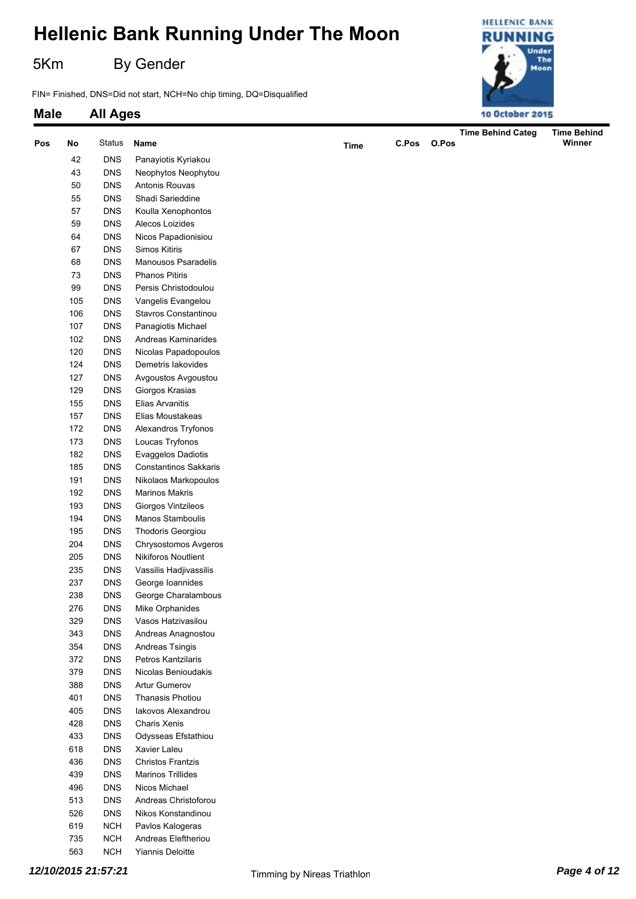5Km By Gender

FIN= Finished, DNS=Did not start, NCH=No chip timing, DQ=Disqualified



| Pos | No  | <b>Status</b> | Name                       | <b>Time</b> | C.Pos | O.Pos | <b>Time Behind Categ</b> | <b>Time Behind</b><br>Winner |
|-----|-----|---------------|----------------------------|-------------|-------|-------|--------------------------|------------------------------|
|     | 42  | <b>DNS</b>    | Panayiotis Kyriakou        |             |       |       |                          |                              |
|     | 43  | <b>DNS</b>    | Neophytos Neophytou        |             |       |       |                          |                              |
|     | 50  | <b>DNS</b>    | Antonis Rouvas             |             |       |       |                          |                              |
|     | 55  | <b>DNS</b>    | Shadi Sarieddine           |             |       |       |                          |                              |
|     | 57  | <b>DNS</b>    | Koulla Xenophontos         |             |       |       |                          |                              |
|     | 59  | <b>DNS</b>    | Alecos Loizides            |             |       |       |                          |                              |
|     | 64  | <b>DNS</b>    | Nicos Papadionisiou        |             |       |       |                          |                              |
|     | 67  | <b>DNS</b>    | Simos Kitiris              |             |       |       |                          |                              |
|     | 68  | <b>DNS</b>    | Manousos Psaradelis        |             |       |       |                          |                              |
|     | 73  | <b>DNS</b>    | <b>Phanos Pitiris</b>      |             |       |       |                          |                              |
|     | 99  | <b>DNS</b>    | Persis Christodoulou       |             |       |       |                          |                              |
|     | 105 | <b>DNS</b>    | Vangelis Evangelou         |             |       |       |                          |                              |
|     | 106 | <b>DNS</b>    | Stavros Constantinou       |             |       |       |                          |                              |
|     | 107 | <b>DNS</b>    | Panagiotis Michael         |             |       |       |                          |                              |
|     | 102 | <b>DNS</b>    | Andreas Kaminarides        |             |       |       |                          |                              |
|     | 120 | <b>DNS</b>    | Nicolas Papadopoulos       |             |       |       |                          |                              |
|     | 124 | <b>DNS</b>    | Demetris lakovides         |             |       |       |                          |                              |
|     | 127 | <b>DNS</b>    | Avgoustos Avgoustou        |             |       |       |                          |                              |
|     | 129 | <b>DNS</b>    | Giorgos Krasias            |             |       |       |                          |                              |
|     | 155 | <b>DNS</b>    | Elias Arvanitis            |             |       |       |                          |                              |
|     | 157 | <b>DNS</b>    | Elias Moustakeas           |             |       |       |                          |                              |
|     | 172 | <b>DNS</b>    | Alexandros Tryfonos        |             |       |       |                          |                              |
|     | 173 | <b>DNS</b>    | Loucas Tryfonos            |             |       |       |                          |                              |
|     | 182 | <b>DNS</b>    | Evaggelos Dadiotis         |             |       |       |                          |                              |
|     | 185 | <b>DNS</b>    | Constantinos Sakkaris      |             |       |       |                          |                              |
|     | 191 | <b>DNS</b>    | Nikolaos Markopoulos       |             |       |       |                          |                              |
|     | 192 | <b>DNS</b>    | <b>Marinos Makris</b>      |             |       |       |                          |                              |
|     | 193 | <b>DNS</b>    | Giorgos Vintzileos         |             |       |       |                          |                              |
|     | 194 | <b>DNS</b>    | Manos Stamboulis           |             |       |       |                          |                              |
|     | 195 | <b>DNS</b>    | Thodoris Georgiou          |             |       |       |                          |                              |
|     | 204 | <b>DNS</b>    | Chrysostomos Avgeros       |             |       |       |                          |                              |
|     | 205 | <b>DNS</b>    | <b>Nikiforos Noutlient</b> |             |       |       |                          |                              |
|     | 235 | <b>DNS</b>    | Vassilis Hadjivassilis     |             |       |       |                          |                              |
|     | 237 | <b>DNS</b>    | George Ioannides           |             |       |       |                          |                              |
|     | 238 | <b>DNS</b>    | George Charalambous        |             |       |       |                          |                              |
|     | 276 | <b>DNS</b>    | Mike Orphanides            |             |       |       |                          |                              |
|     | 329 | <b>DNS</b>    | Vasos Hatzivasilou         |             |       |       |                          |                              |
|     | 343 | <b>DNS</b>    | Andreas Anagnostou         |             |       |       |                          |                              |
|     | 354 | <b>DNS</b>    | Andreas Tsingis            |             |       |       |                          |                              |
|     | 372 | <b>DNS</b>    | Petros Kantzilaris         |             |       |       |                          |                              |
|     | 379 | <b>DNS</b>    | Nicolas Benioudakis        |             |       |       |                          |                              |
|     | 388 | <b>DNS</b>    | <b>Artur Gumerov</b>       |             |       |       |                          |                              |
|     | 401 | <b>DNS</b>    | <b>Thanasis Photiou</b>    |             |       |       |                          |                              |
|     | 405 | <b>DNS</b>    | lakovos Alexandrou         |             |       |       |                          |                              |
|     | 428 | <b>DNS</b>    | Charis Xenis               |             |       |       |                          |                              |
|     | 433 | <b>DNS</b>    | Odysseas Efstathiou        |             |       |       |                          |                              |
|     | 618 | <b>DNS</b>    | Xavier Laleu               |             |       |       |                          |                              |
|     | 436 | <b>DNS</b>    | <b>Christos Frantzis</b>   |             |       |       |                          |                              |
|     | 439 | <b>DNS</b>    | <b>Marinos Trillides</b>   |             |       |       |                          |                              |
|     | 496 | <b>DNS</b>    | Nicos Michael              |             |       |       |                          |                              |
|     | 513 | <b>DNS</b>    | Andreas Christoforou       |             |       |       |                          |                              |
|     | 526 | <b>DNS</b>    | Nikos Konstandinou         |             |       |       |                          |                              |
|     | 619 | <b>NCH</b>    | Pavlos Kalogeras           |             |       |       |                          |                              |
|     | 735 | <b>NCH</b>    | Andreas Eleftheriou        |             |       |       |                          |                              |
|     | 563 | <b>NCH</b>    | Yiannis Deloitte           |             |       |       |                          |                              |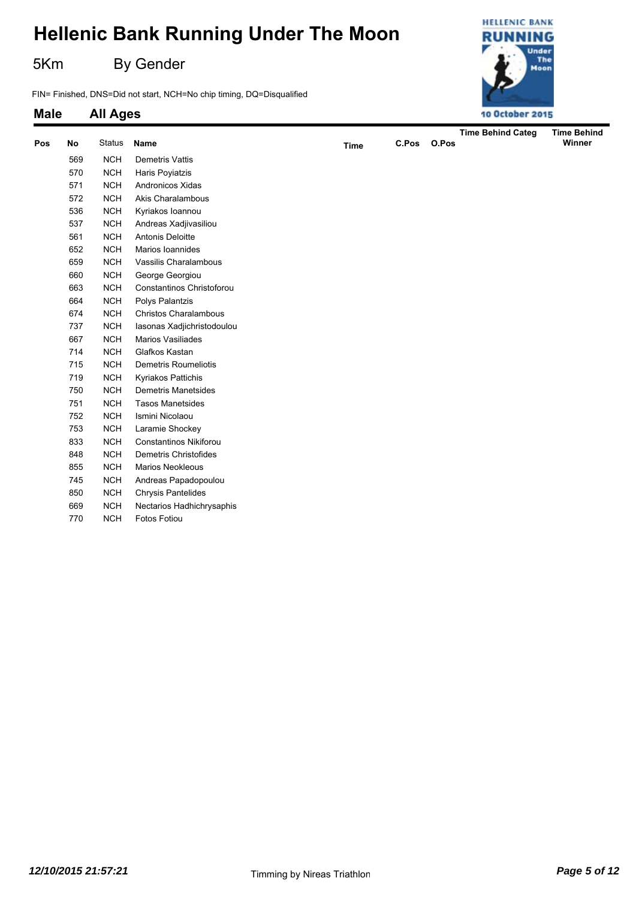5Km By Gender

FIN= Finished, DNS=Did not start, NCH=No chip timing, DQ=Disqualified



| Pos | No  | <b>Status</b> | Name                         | <b>Time</b> | C.Pos | O.Pos | <b>Time Behind Categ</b> | <b>Time Behind</b><br>Winner |
|-----|-----|---------------|------------------------------|-------------|-------|-------|--------------------------|------------------------------|
|     | 569 | <b>NCH</b>    | Demetris Vattis              |             |       |       |                          |                              |
|     | 570 | <b>NCH</b>    | Haris Poyiatzis              |             |       |       |                          |                              |
|     | 571 | <b>NCH</b>    | Andronicos Xidas             |             |       |       |                          |                              |
|     | 572 | <b>NCH</b>    | Akis Charalambous            |             |       |       |                          |                              |
|     | 536 | <b>NCH</b>    | Kyriakos Ioannou             |             |       |       |                          |                              |
|     | 537 | <b>NCH</b>    | Andreas Xadjivasiliou        |             |       |       |                          |                              |
|     | 561 | NCH           | Antonis Deloitte             |             |       |       |                          |                              |
|     | 652 | <b>NCH</b>    | Marios Ioannides             |             |       |       |                          |                              |
|     | 659 | <b>NCH</b>    | Vassilis Charalambous        |             |       |       |                          |                              |
|     | 660 | <b>NCH</b>    | George Georgiou              |             |       |       |                          |                              |
|     | 663 | <b>NCH</b>    | Constantinos Christoforou    |             |       |       |                          |                              |
|     | 664 | <b>NCH</b>    | Polys Palantzis              |             |       |       |                          |                              |
|     | 674 | <b>NCH</b>    | <b>Christos Charalambous</b> |             |       |       |                          |                              |
|     | 737 | <b>NCH</b>    | Iasonas Xadjichristodoulou   |             |       |       |                          |                              |
|     | 667 | <b>NCH</b>    | Marios Vasiliades            |             |       |       |                          |                              |
|     | 714 | <b>NCH</b>    | Glafkos Kastan               |             |       |       |                          |                              |
|     | 715 | <b>NCH</b>    | Demetris Roumeliotis         |             |       |       |                          |                              |
|     | 719 | <b>NCH</b>    | Kyriakos Pattichis           |             |       |       |                          |                              |
|     | 750 | <b>NCH</b>    | <b>Demetris Manetsides</b>   |             |       |       |                          |                              |
|     | 751 | <b>NCH</b>    | <b>Tasos Manetsides</b>      |             |       |       |                          |                              |
|     | 752 | <b>NCH</b>    | Ismini Nicolaou              |             |       |       |                          |                              |
|     | 753 | NCH           | Laramie Shockey              |             |       |       |                          |                              |
|     | 833 | <b>NCH</b>    | Constantinos Nikiforou       |             |       |       |                          |                              |
|     | 848 | <b>NCH</b>    | Demetris Christofides        |             |       |       |                          |                              |
|     | 855 | <b>NCH</b>    | <b>Marios Neokleous</b>      |             |       |       |                          |                              |
|     | 745 | <b>NCH</b>    | Andreas Papadopoulou         |             |       |       |                          |                              |
|     | 850 | <b>NCH</b>    | <b>Chrysis Pantelides</b>    |             |       |       |                          |                              |
|     | 669 | <b>NCH</b>    | Nectarios Hadhichrysaphis    |             |       |       |                          |                              |
|     | 770 | <b>NCH</b>    | Fotos Fotiou                 |             |       |       |                          |                              |
|     |     |               |                              |             |       |       |                          |                              |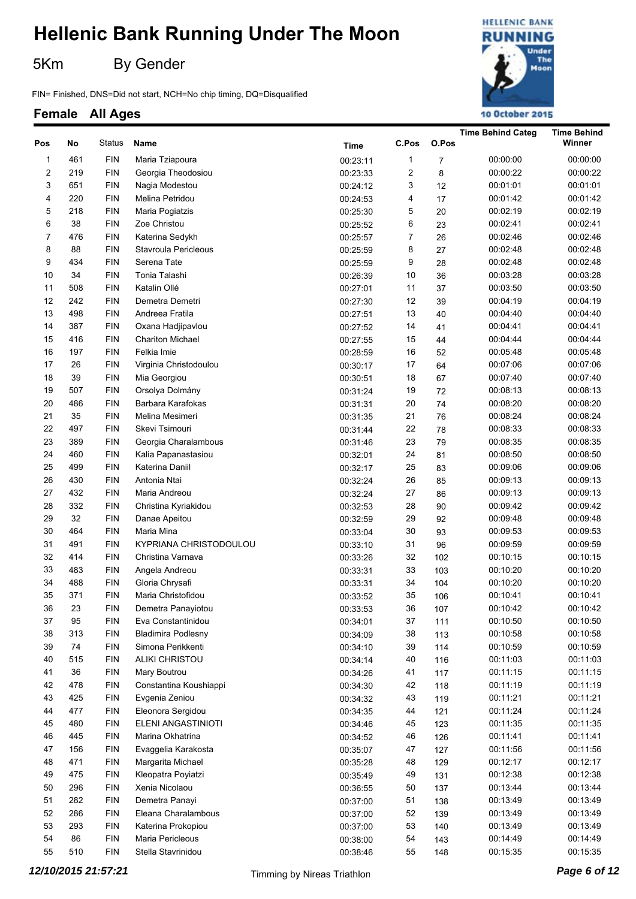5Km By Gender

FIN= Finished, DNS=Did not start, NCH=No chip timing, DQ=Disqualified

### **HELLENIC BANK RUNNING** Under The Moon 10 October 2015

|                |     |               |                           |             |                |                | <b>Time Behind Categ</b> | <b>Time Behind</b> |
|----------------|-----|---------------|---------------------------|-------------|----------------|----------------|--------------------------|--------------------|
| Pos            | No  | <b>Status</b> | Name                      | <b>Time</b> | C.Pos          | O.Pos          |                          | Winner             |
| 1              | 461 | <b>FIN</b>    | Maria Tziapoura           | 00:23:11    | 1              | $\overline{7}$ | 00:00:00                 | 00:00:00           |
| $\overline{c}$ | 219 | <b>FIN</b>    | Georgia Theodosiou        | 00:23:33    | 2              | 8              | 00:00:22                 | 00:00:22           |
| 3              | 651 | <b>FIN</b>    | Nagia Modestou            | 00:24:12    | 3              | 12             | 00:01:01                 | 00:01:01           |
| 4              | 220 | <b>FIN</b>    | Melina Petridou           | 00:24:53    | 4              | 17             | 00:01:42                 | 00:01:42           |
| 5              | 218 | <b>FIN</b>    | Maria Pogiatzis           | 00:25:30    | 5              | 20             | 00:02:19                 | 00:02:19           |
| 6              | 38  | <b>FIN</b>    | Zoe Christou              | 00:25:52    | 6              | 23             | 00:02:41                 | 00:02:41           |
| 7              | 476 | <b>FIN</b>    | Katerina Sedykh           | 00:25:57    | $\overline{7}$ | 26             | 00:02:46                 | 00:02:46           |
| 8              | 88  | <b>FIN</b>    | Stavroula Pericleous      | 00:25:59    | 8              | 27             | 00:02:48                 | 00:02:48           |
| 9              | 434 | <b>FIN</b>    | Serena Tate               | 00:25:59    | 9              | 28             | 00:02:48                 | 00:02:48           |
| 10             | 34  | <b>FIN</b>    | Tonia Talashi             | 00:26:39    | 10             | 36             | 00:03:28                 | 00:03:28           |
| 11             | 508 | <b>FIN</b>    | Katalin Ollé              | 00:27:01    | 11             | 37             | 00:03:50                 | 00:03:50           |
| 12             | 242 | <b>FIN</b>    | Demetra Demetri           | 00:27:30    | 12             | 39             | 00:04:19                 | 00:04:19           |
| 13             | 498 | <b>FIN</b>    | Andreea Fratila           | 00:27:51    | 13             | 40             | 00:04:40                 | 00:04:40           |
| 14             | 387 | <b>FIN</b>    | Oxana Hadjipavlou         | 00:27:52    | 14             | 41             | 00:04:41                 | 00:04:41           |
| 15             | 416 | <b>FIN</b>    | <b>Chariton Michael</b>   | 00:27:55    | 15             | 44             | 00:04:44                 | 00:04:44           |
| 16             | 197 | <b>FIN</b>    | Felkia Imie               | 00:28:59    | 16             | 52             | 00:05:48                 | 00:05:48           |
| 17             | 26  | <b>FIN</b>    | Virginia Christodoulou    | 00:30:17    | 17             | 64             | 00:07:06                 | 00:07:06           |
| 18             | 39  | <b>FIN</b>    | Mia Georgiou              | 00:30:51    | 18             | 67             | 00:07:40                 | 00:07:40           |
| 19             | 507 | <b>FIN</b>    | Orsolya Dolmány           | 00:31:24    | 19             | 72             | 00:08:13                 | 00:08:13           |
| 20             | 486 | <b>FIN</b>    | Barbara Karafokas         | 00:31:31    | 20             | 74             | 00:08:20                 | 00:08:20           |
| 21             | 35  | <b>FIN</b>    | Melina Mesimeri           | 00:31:35    | 21             | 76             | 00:08:24                 | 00:08:24           |
| 22             | 497 | <b>FIN</b>    | Skevi Tsimouri            | 00:31:44    | 22             | 78             | 00:08:33                 | 00:08:33           |
| 23             | 389 | <b>FIN</b>    | Georgia Charalambous      | 00:31:46    | 23             | 79             | 00:08:35                 | 00:08:35           |
| 24             | 460 | <b>FIN</b>    | Kalia Papanastasiou       | 00:32:01    | 24             | 81             | 00:08:50                 | 00:08:50           |
| 25             | 499 | <b>FIN</b>    | Katerina Daniil           | 00:32:17    | 25             | 83             | 00:09:06                 | 00:09:06           |
| 26             | 430 | <b>FIN</b>    | Antonia Ntai              | 00:32:24    | 26             | 85             | 00:09:13                 | 00:09:13           |
| 27             | 432 | <b>FIN</b>    | Maria Andreou             | 00:32:24    | 27             | 86             | 00:09:13                 | 00:09:13           |
| 28             | 332 | <b>FIN</b>    | Christina Kyriakidou      | 00:32:53    | 28             | 90             | 00:09:42                 | 00:09:42           |
| 29             | 32  | <b>FIN</b>    | Danae Apeitou             | 00:32:59    | 29             | 92             | 00:09:48                 | 00:09:48           |
| 30             | 464 | <b>FIN</b>    | Maria Mina                | 00:33:04    | 30             | 93             | 00:09:53                 | 00:09:53           |
| 31             | 491 | <b>FIN</b>    | KYPRIANA CHRISTODOULOU    | 00:33:10    | 31             | 96             | 00:09:59                 | 00:09:59           |
| 32             | 414 | <b>FIN</b>    | Christina Varnava         | 00:33:26    | 32             | 102            | 00:10:15                 | 00:10:15           |
| 33             | 483 | <b>FIN</b>    | Angela Andreou            | 00:33:31    | 33             | 103            | 00:10:20                 | 00:10:20           |
| 34             | 488 | <b>FIN</b>    | Gloria Chrysafi           | 00:33:31    | 34             | 104            | 00:10:20                 | 00:10:20           |
| 35             | 371 | <b>FIN</b>    | Maria Christofidou        | 00:33:52    | 35             | 106            | 00:10:41                 | 00:10:41           |
| 36             | 23  | ${\sf FIN}$   | Demetra Panayiotou        | 00:33:53    | 36             | 107            | 00:10:42                 | 00:10:42           |
| 37             | 95  | <b>FIN</b>    | Eva Constantinidou        | 00:34:01    | 37             | 111            | 00:10:50                 | 00:10:50           |
| 38             | 313 | <b>FIN</b>    | <b>Bladimira Podlesny</b> | 00:34:09    | 38             | 113            | 00:10:58                 | 00:10:58           |
| 39             | 74  | <b>FIN</b>    | Simona Perikkenti         | 00:34:10    | 39             | 114            | 00:10:59                 | 00:10:59           |
| 40             | 515 | <b>FIN</b>    | <b>ALIKI CHRISTOU</b>     | 00:34:14    | 40             | 116            | 00:11:03                 | 00:11:03           |
| 41             | 36  | <b>FIN</b>    | Mary Boutrou              | 00:34:26    | 41             | 117            | 00:11:15                 | 00:11:15           |
| 42             | 478 | <b>FIN</b>    | Constantina Koushiappi    | 00:34:30    | 42             | 118            | 00:11:19                 | 00:11:19           |
| 43             | 425 | <b>FIN</b>    | Evgenia Zeniou            | 00:34:32    | 43             | 119            | 00:11:21                 | 00:11:21           |
| 44             | 477 | <b>FIN</b>    | Eleonora Sergidou         | 00:34:35    | 44             | 121            | 00:11:24                 | 00:11:24           |
| 45             | 480 | <b>FIN</b>    | ELENI ANGASTINIOTI        | 00:34:46    | 45             | 123            | 00:11:35                 | 00:11:35           |
| 46             | 445 | <b>FIN</b>    | Marina Okhatrina          | 00:34:52    | 46             | 126            | 00:11:41                 | 00:11:41           |
| 47             | 156 | <b>FIN</b>    | Evaggelia Karakosta       | 00:35:07    | 47             | 127            | 00:11:56                 | 00:11:56           |
| 48             | 471 | <b>FIN</b>    | Margarita Michael         | 00:35:28    | 48             | 129            | 00:12:17                 | 00:12:17           |
| 49             | 475 | <b>FIN</b>    | Kleopatra Poyiatzi        | 00:35:49    | 49             | 131            | 00:12:38                 | 00:12:38           |
| 50             | 296 | <b>FIN</b>    | Xenia Nicolaou            | 00:36:55    | 50             | 137            | 00:13:44                 | 00:13:44           |
| 51             | 282 | <b>FIN</b>    | Demetra Panayi            | 00:37:00    | 51             | 138            | 00:13:49                 | 00:13:49           |
| 52             | 286 | <b>FIN</b>    | Eleana Charalambous       | 00:37:00    | 52             | 139            | 00:13:49                 | 00:13:49           |
| 53             | 293 | <b>FIN</b>    | Katerina Prokopiou        | 00:37:00    | 53             | 140            | 00:13:49                 | 00:13:49           |
| 54             | 86  | <b>FIN</b>    | Maria Pericleous          | 00:38:00    | 54             | 143            | 00:14:49                 | 00:14:49           |
| 55             | 510 | ${\sf FIN}$   | Stella Stavrinidou        | 00:38:46    | 55             | 148            | 00:15:35                 | 00:15:35           |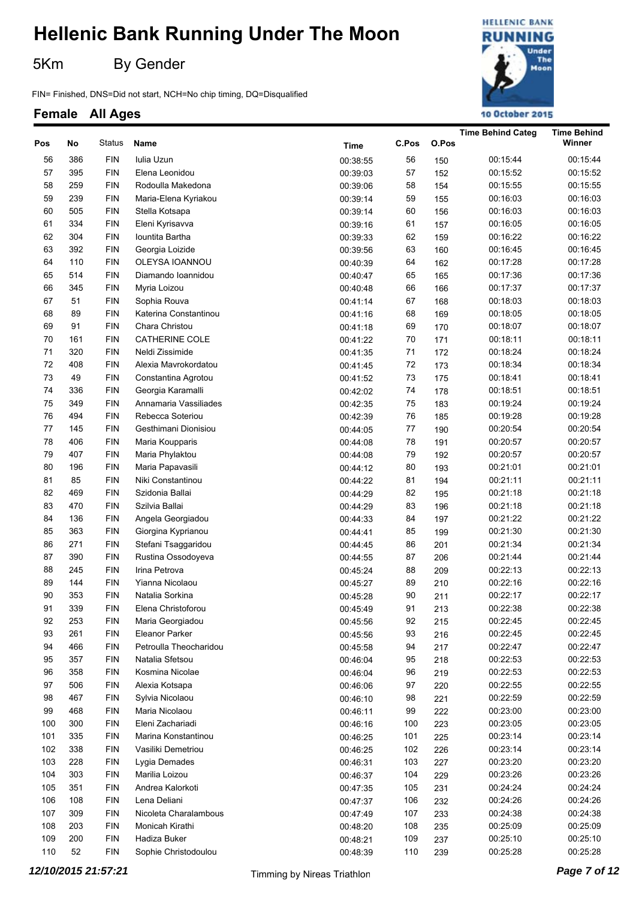5Km By Gender

FIN= Finished, DNS=Did not start, NCH=No chip timing, DQ=Disqualified

### **HELLENIC BANK RUNNING** Under The Moon 10 October 2015

|     |        |            |                        |             |       |       | <b>Time Behind Categ</b> | <b>Time Behind</b> |
|-----|--------|------------|------------------------|-------------|-------|-------|--------------------------|--------------------|
| Pos | No     | Status     | Name                   | <b>Time</b> | C.Pos | O.Pos |                          | Winner             |
| 56  | 386    | <b>FIN</b> | Iulia Uzun             | 00:38:55    | 56    | 150   | 00:15:44                 | 00:15:44           |
| 57  | 395    | <b>FIN</b> | Elena Leonidou         | 00:39:03    | 57    | 152   | 00:15:52                 | 00:15:52           |
| 58  | 259    | <b>FIN</b> | Rodoulla Makedona      | 00:39:06    | 58    | 154   | 00:15:55                 | 00:15:55           |
| 59  | 239    | <b>FIN</b> | Maria-Elena Kyriakou   | 00:39:14    | 59    | 155   | 00:16:03                 | 00:16:03           |
| 60  | 505    | <b>FIN</b> | Stella Kotsapa         | 00:39:14    | 60    | 156   | 00:16:03                 | 00:16:03           |
| 61  | 334    | <b>FIN</b> | Eleni Kyrisavva        | 00:39:16    | 61    | 157   | 00:16:05                 | 00:16:05           |
| 62  | 304    | <b>FIN</b> | Iountita Bartha        | 00:39:33    | 62    | 159   | 00:16:22                 | 00:16:22           |
| 63  | 392    | <b>FIN</b> | Georgia Loizide        | 00:39:56    | 63    | 160   | 00:16:45                 | 00:16:45           |
| 64  | 110    | <b>FIN</b> | OLEYSA IOANNOU         | 00:40:39    | 64    | 162   | 00:17:28                 | 00:17:28           |
| 65  | 514    | <b>FIN</b> | Diamando Ioannidou     | 00:40:47    | 65    | 165   | 00:17:36                 | 00:17:36           |
| 66  | 345    | <b>FIN</b> | Myria Loizou           | 00:40:48    | 66    | 166   | 00:17:37                 | 00:17:37           |
| 67  | 51     | <b>FIN</b> | Sophia Rouva           | 00:41:14    | 67    | 168   | 00:18:03                 | 00:18:03           |
| 68  | 89     | <b>FIN</b> | Katerina Constantinou  | 00:41:16    | 68    | 169   | 00:18:05                 | 00:18:05           |
| 69  | 91     | <b>FIN</b> | Chara Christou         | 00:41:18    | 69    | 170   | 00:18:07                 | 00:18:07           |
| 70  | 161    | <b>FIN</b> | <b>CATHERINE COLE</b>  | 00:41:22    | 70    | 171   | 00:18:11                 | 00:18:11           |
| 71  | 320    | <b>FIN</b> | Neldi Zissimide        | 00:41:35    | 71    | 172   | 00:18:24                 | 00:18:24           |
| 72  | 408    | <b>FIN</b> | Alexia Mavrokordatou   | 00:41:45    | 72    | 173   | 00:18:34                 | 00:18:34           |
| 73  | 49     | <b>FIN</b> | Constantina Agrotou    | 00:41:52    | 73    | 175   | 00:18:41                 | 00:18:41           |
| 74  | 336    | <b>FIN</b> | Georgia Karamalli      | 00:42:02    | 74    | 178   | 00:18:51                 | 00:18:51           |
| 75  | 349    | <b>FIN</b> | Annamaria Vassiliades  | 00:42:35    | 75    | 183   | 00:19:24                 | 00:19:24           |
| 76  | 494    | <b>FIN</b> | Rebecca Soteriou       | 00:42:39    | 76    | 185   | 00:19:28                 | 00:19:28           |
| 77  | 145    | <b>FIN</b> | Gesthimani Dionisiou   |             | 77    |       | 00:20:54                 | 00:20:54           |
| 78  | 406    | <b>FIN</b> |                        | 00:44:05    | 78    | 190   | 00:20:57                 | 00:20:57           |
| 79  |        |            | Maria Koupparis        | 00:44:08    | 79    | 191   |                          |                    |
|     | 407    | <b>FIN</b> | Maria Phylaktou        | 00:44:08    |       | 192   | 00:20:57                 | 00:20:57           |
| 80  | 196    | <b>FIN</b> | Maria Papavasili       | 00:44:12    | 80    | 193   | 00:21:01                 | 00:21:01           |
| 81  | 85     | <b>FIN</b> | Niki Constantinou      | 00:44:22    | 81    | 194   | 00:21:11                 | 00:21:11           |
| 82  | 469    | <b>FIN</b> | Szidonia Ballai        | 00:44:29    | 82    | 195   | 00:21:18                 | 00:21:18           |
| 83  | 470    | <b>FIN</b> | Szilvia Ballai         | 00:44:29    | 83    | 196   | 00:21:18                 | 00:21:18           |
| 84  | 136    | <b>FIN</b> | Angela Georgiadou      | 00:44:33    | 84    | 197   | 00:21:22                 | 00:21:22           |
| 85  | 363    | <b>FIN</b> | Giorgina Kyprianou     | 00:44:41    | 85    | 199   | 00:21:30                 | 00:21:30           |
| 86  | 271    | <b>FIN</b> | Stefani Tsaggaridou    | 00:44:45    | 86    | 201   | 00:21:34                 | 00:21:34           |
| 87  | 390    | <b>FIN</b> | Rustina Ossodoyeva     | 00:44:55    | 87    | 206   | 00:21:44                 | 00:21:44           |
| 88  | 245    | <b>FIN</b> | Irina Petrova          | 00:45:24    | 88    | 209   | 00:22:13                 | 00:22:13           |
| 89  | 144    | <b>FIN</b> | Yianna Nicolaou        | 00:45:27    | 89    | 210   | 00:22:16                 | 00:22:16           |
| 90  | 353    | <b>FIN</b> | Natalia Sorkina        | 00:45:28    | 90    | 211   | 00:22:17                 | 00:22:17           |
| 91  | 339    | <b>FIN</b> | Elena Christoforou     | 00:45:49    | 91    | 213   | 00:22:38                 | 00:22:38           |
| 92  | 253    | <b>FIN</b> | Maria Georgiadou       | 00:45:56    | 92    | 215   | 00:22:45                 | 00:22:45           |
| 93  | 261    | <b>FIN</b> | Eleanor Parker         | 00:45:56    | 93    | 216   | 00:22:45                 | 00:22:45           |
| 94  | 466    | <b>FIN</b> | Petroulla Theocharidou | 00:45:58    | 94    | 217   | 00:22:47                 | 00:22:47           |
| 95  | 357    | <b>FIN</b> | Natalia Sfetsou        | 00:46:04    | 95    | 218   | 00:22:53                 | 00:22:53           |
| 96  | 358    | <b>FIN</b> | Kosmina Nicolae        | 00:46:04    | 96    | 219   | 00:22:53                 | 00:22:53           |
| 97  | 506    | <b>FIN</b> | Alexia Kotsapa         | 00:46:06    | 97    | 220   | 00:22:55                 | 00:22:55           |
| 98  | 467    | <b>FIN</b> | Sylvia Nicolaou        | 00:46:10    | 98    | 221   | 00:22:59                 | 00:22:59           |
| 99  | 468    | <b>FIN</b> | Maria Nicolaou         | 00:46:11    | 99    | 222   | 00:23:00                 | 00:23:00           |
| 100 | 300    | <b>FIN</b> | Eleni Zachariadi       | 00:46:16    | 100   | 223   | 00:23:05                 | 00:23:05           |
| 101 | 335    | <b>FIN</b> | Marina Konstantinou    | 00:46:25    | 101   | 225   | 00:23:14                 | 00:23:14           |
| 102 | 338    | <b>FIN</b> | Vasiliki Demetriou     | 00:46:25    | 102   | 226   | 00:23:14                 | 00:23:14           |
| 103 | 228    | <b>FIN</b> | Lygia Demades          | 00:46:31    | 103   | 227   | 00:23:20                 | 00:23:20           |
| 104 | 303    | <b>FIN</b> | Marilia Loizou         | 00:46:37    | 104   | 229   | 00:23:26                 | 00:23:26           |
| 105 | 351    | <b>FIN</b> | Andrea Kalorkoti       | 00:47:35    | 105   | 231   | 00:24:24                 | 00:24:24           |
| 106 | 108    | <b>FIN</b> | Lena Deliani           | 00:47:37    | 106   | 232   | 00:24:26                 | 00:24:26           |
| 107 | 309    | <b>FIN</b> | Nicoleta Charalambous  | 00:47:49    | 107   | 233   | 00:24:38                 | 00:24:38           |
| 108 | 203    | <b>FIN</b> | Monicah Kirathi        | 00:48:20    | 108   | 235   | 00:25:09                 | 00:25:09           |
| 109 | 200    | <b>FIN</b> | Hadiza Buker           | 00:48:21    | 109   | 237   | 00:25:10                 | 00:25:10           |
| 110 | $52\,$ | <b>FIN</b> | Sophie Christodoulou   | 00:48:39    | 110   | 239   | 00:25:28                 | 00:25:28           |
|     |        |            |                        |             |       |       |                          |                    |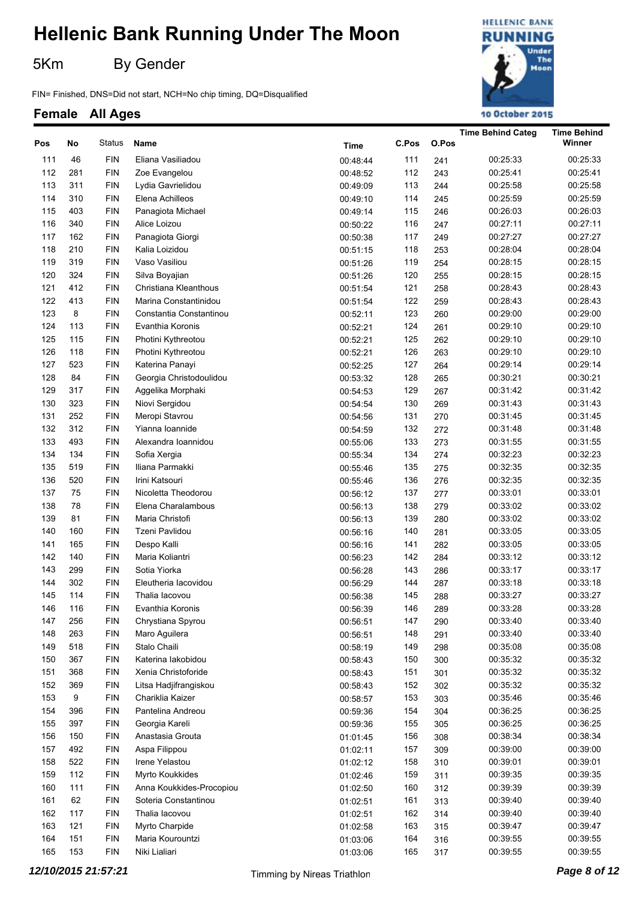5Km By Gender

FIN= Finished, DNS=Did not start, NCH=No chip timing, DQ=Disqualified

### **HELLENIC BANK RUNNING** Under The Moon 10 October 2015

|     |     |                |                          |             |       |       | <b>Time Behind Categ</b> | <b>Time Behind</b> |
|-----|-----|----------------|--------------------------|-------------|-------|-------|--------------------------|--------------------|
| Pos | No  | Status         | Name                     | <b>Time</b> | C.Pos | O.Pos |                          | Winner             |
| 111 | 46  | <b>FIN</b>     | Eliana Vasiliadou        | 00:48:44    | 111   | 241   | 00:25:33                 | 00:25:33           |
| 112 | 281 | <b>FIN</b>     | Zoe Evangelou            | 00:48:52    | 112   | 243   | 00:25:41                 | 00:25:41           |
| 113 | 311 | <b>FIN</b>     | Lydia Gavrielidou        | 00:49:09    | 113   | 244   | 00:25:58                 | 00:25:58           |
| 114 | 310 | <b>FIN</b>     | Elena Achilleos          | 00:49:10    | 114   | 245   | 00:25:59                 | 00:25:59           |
| 115 | 403 | <b>FIN</b>     | Panagiota Michael        | 00:49:14    | 115   | 246   | 00:26:03                 | 00:26:03           |
| 116 | 340 | <b>FIN</b>     | Alice Loizou             | 00:50:22    | 116   | 247   | 00:27:11                 | 00:27:11           |
| 117 | 162 | <b>FIN</b>     | Panagiota Giorgi         | 00:50:38    | 117   | 249   | 00:27:27                 | 00:27:27           |
| 118 | 210 | <b>FIN</b>     | Kalia Loizidou           | 00:51:15    | 118   | 253   | 00:28:04                 | 00:28:04           |
| 119 | 319 | <b>FIN</b>     | Vaso Vasiliou            | 00:51:26    | 119   | 254   | 00:28:15                 | 00:28:15           |
| 120 | 324 | <b>FIN</b>     | Silva Boyajian           | 00:51:26    | 120   | 255   | 00:28:15                 | 00:28:15           |
| 121 | 412 | <b>FIN</b>     | Christiana Kleanthous    | 00:51:54    | 121   | 258   | 00:28:43                 | 00:28:43           |
| 122 | 413 | <b>FIN</b>     | Marina Constantinidou    | 00:51:54    | 122   | 259   | 00:28:43                 | 00:28:43           |
| 123 | 8   | <b>FIN</b>     | Constantia Constantinou  | 00:52:11    | 123   | 260   | 00:29:00                 | 00:29:00           |
| 124 | 113 | <b>FIN</b>     | Evanthia Koronis         | 00:52:21    | 124   | 261   | 00:29:10                 | 00:29:10           |
| 125 | 115 | <b>FIN</b>     | Photini Kythreotou       | 00:52:21    | 125   | 262   | 00:29:10                 | 00:29:10           |
| 126 | 118 | <b>FIN</b>     | Photini Kythreotou       | 00:52:21    | 126   | 263   | 00:29:10                 | 00:29:10           |
| 127 | 523 | <b>FIN</b>     | Katerina Panayi          | 00:52:25    | 127   | 264   | 00:29:14                 | 00:29:14           |
| 128 | 84  | <b>FIN</b>     | Georgia Christodoulidou  | 00:53:32    | 128   | 265   | 00:30:21                 | 00:30:21           |
| 129 | 317 | <b>FIN</b>     | Aggelika Morphaki        | 00:54:53    | 129   | 267   | 00:31:42                 | 00:31:42           |
| 130 | 323 | <b>FIN</b>     | Niovi Sergidou           | 00:54:54    | 130   | 269   | 00:31:43                 | 00:31:43           |
| 131 | 252 | <b>FIN</b>     | Meropi Stavrou           | 00:54:56    | 131   | 270   | 00:31:45                 | 00:31:45           |
| 132 | 312 | <b>FIN</b>     | Yianna Ioannide          | 00:54:59    | 132   | 272   | 00:31:48                 | 00:31:48           |
| 133 | 493 | <b>FIN</b>     | Alexandra Ioannidou      | 00:55:06    | 133   | 273   | 00:31:55                 | 00:31:55           |
| 134 | 134 | <b>FIN</b>     | Sofia Xergia             | 00:55:34    | 134   | 274   | 00:32:23                 | 00:32:23           |
| 135 | 519 | <b>FIN</b>     | Iliana Parmakki          | 00:55:46    | 135   | 275   | 00:32:35                 | 00:32:35           |
| 136 | 520 | <b>FIN</b>     | Irini Katsouri           | 00:55:46    | 136   | 276   | 00:32:35                 | 00:32:35           |
| 137 | 75  | <b>FIN</b>     | Nicoletta Theodorou      | 00:56:12    | 137   | 277   | 00:33:01                 | 00:33:01           |
| 138 | 78  | <b>FIN</b>     | Elena Charalambous       | 00:56:13    | 138   | 279   | 00:33:02                 | 00:33:02           |
| 139 | 81  | <b>FIN</b>     | Maria Christofi          | 00:56:13    | 139   | 280   | 00:33:02                 | 00:33:02           |
| 140 | 160 | <b>FIN</b>     | <b>Tzeni Pavlidou</b>    | 00:56:16    | 140   | 281   | 00:33:05                 | 00:33:05           |
| 141 | 165 | <b>FIN</b>     | Despo Kalli              | 00:56:16    | 141   | 282   | 00:33:05                 | 00:33:05           |
| 142 | 140 | <b>FIN</b>     | Maria Koliantri          | 00:56:23    | 142   | 284   | 00:33:12                 | 00:33:12           |
| 143 | 299 | <b>FIN</b>     | Sotia Yiorka             | 00:56:28    | 143   | 286   | 00:33:17                 | 00:33:17           |
| 144 | 302 | <b>FIN</b>     | Eleutheria lacovidou     | 00:56:29    | 144   | 287   | 00:33:18                 | 00:33:18           |
| 145 | 114 | <b>FIN</b>     | Thalia Iacovou           | 00:56:38    | 145   | 288   | 00:33:27                 | 00:33:27           |
| 146 | 116 | <b>FIN</b>     | Evanthia Koronis         | 00:56:39    | 146   | 289   | 00:33:28                 | 00:33:28           |
| 147 | 256 | <b>FIN</b>     | Chrystiana Spyrou        | 00:56:51    | 147   | 290   | 00:33:40                 | 00:33:40           |
| 148 | 263 | <b>FIN</b>     | Maro Aguilera            | 00:56:51    | 148   | 291   | 00:33:40                 | 00:33:40           |
| 149 | 518 | $\mathsf{FIN}$ | Stalo Chaili             | 00:58:19    | 149   | 298   | 00:35:08                 | 00:35:08           |
| 150 | 367 | <b>FIN</b>     | Katerina lakobidou       | 00:58:43    | 150   | 300   | 00:35:32                 | 00:35:32           |
| 151 | 368 | <b>FIN</b>     | Xenia Christoforide      | 00:58:43    | 151   | 301   | 00:35:32                 | 00:35:32           |
| 152 | 369 | $\mathsf{FIN}$ | Litsa Hadjifrangiskou    | 00:58:43    | 152   | 302   | 00:35:32                 | 00:35:32           |
| 153 | 9   | $\mathsf{FIN}$ | Chariklia Kaizer         | 00:58:57    | 153   | 303   | 00:35:46                 | 00:35:46           |
| 154 | 396 | $\mathsf{FIN}$ | Pantelina Andreou        | 00:59:36    | 154   | 304   | 00:36:25                 | 00:36:25           |
| 155 | 397 | <b>FIN</b>     | Georgia Kareli           | 00:59:36    | 155   | 305   | 00:36:25                 | 00:36:25           |
| 156 | 150 | $\mathsf{FIN}$ | Anastasia Grouta         | 01:01:45    | 156   | 308   | 00:38:34                 | 00:38:34           |
| 157 | 492 | <b>FIN</b>     | Aspa Filippou            | 01:02:11    | 157   | 309   | 00:39:00                 | 00:39:00           |
| 158 | 522 | $\mathsf{FIN}$ | Irene Yelastou           | 01:02:12    | 158   | 310   | 00:39:01                 | 00:39:01           |
| 159 | 112 | <b>FIN</b>     | Myrto Koukkides          | 01:02:46    | 159   | 311   | 00:39:35                 | 00:39:35           |
| 160 | 111 | $\mathsf{FIN}$ | Anna Koukkides-Procopiou | 01:02:50    | 160   | 312   | 00:39:39                 | 00:39:39           |
| 161 | 62  | <b>FIN</b>     | Soteria Constantinou     | 01:02:51    | 161   | 313   | 00:39:40                 | 00:39:40           |
| 162 | 117 | <b>FIN</b>     | Thalia lacovou           | 01:02:51    | 162   | 314   | 00:39:40                 | 00:39:40           |
| 163 | 121 | <b>FIN</b>     | Myrto Charpide           | 01:02:58    | 163   | 315   | 00:39:47                 | 00:39:47           |
| 164 | 151 | <b>FIN</b>     | Maria Kourountzi         | 01:03:06    | 164   | 316   | 00:39:55                 | 00:39:55           |
| 165 | 153 | <b>FIN</b>     | Niki Lialiari            | 01:03:06    | 165   | 317   | 00:39:55                 | 00:39:55           |
|     |     |                |                          |             |       |       |                          |                    |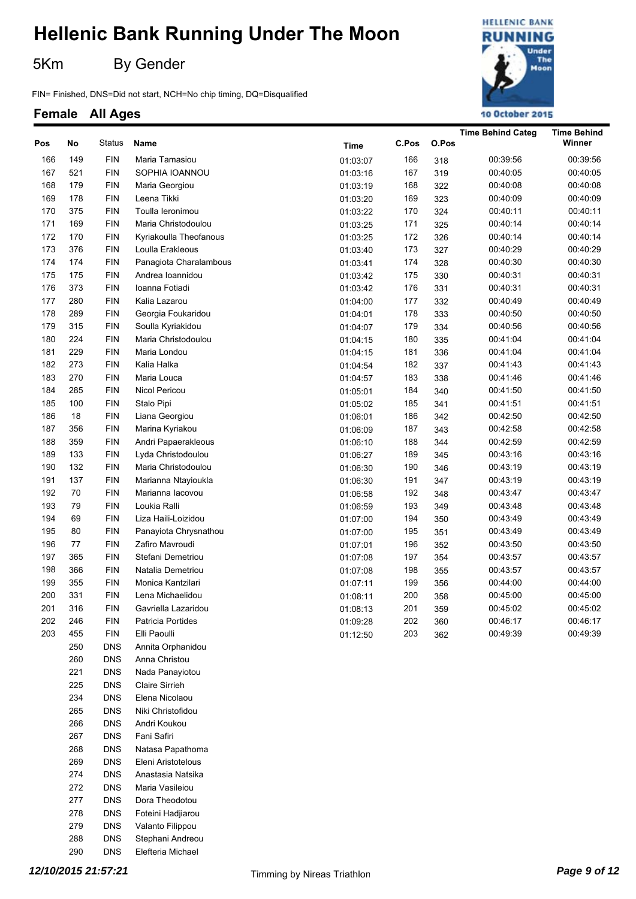5Km By Gender

FIN= Finished, DNS=Did not start, NCH=No chip timing, DQ=Disqualified

#### **Female All Ages**



| Pos | No  | Status     | Name                   | Time     | C.Pos | O.Pos | <b>Time Behind Categ</b> | <b>Time Behind</b><br>Winner |
|-----|-----|------------|------------------------|----------|-------|-------|--------------------------|------------------------------|
| 166 | 149 | <b>FIN</b> | Maria Tamasiou         | 01:03:07 | 166   | 318   | 00:39:56                 | 00:39:56                     |
| 167 | 521 | <b>FIN</b> | SOPHIA IOANNOU         | 01:03:16 | 167   | 319   | 00:40:05                 | 00:40:05                     |
| 168 | 179 | <b>FIN</b> | Maria Georgiou         | 01:03:19 | 168   | 322   | 00:40:08                 | 00:40:08                     |
| 169 | 178 | <b>FIN</b> | Leena Tikki            | 01:03:20 | 169   | 323   | 00:40:09                 | 00:40:09                     |
| 170 | 375 | <b>FIN</b> | Toulla leronimou       | 01:03:22 | 170   | 324   | 00:40:11                 | 00:40:11                     |
| 171 | 169 | <b>FIN</b> | Maria Christodoulou    | 01:03:25 | 171   | 325   | 00:40:14                 | 00:40:14                     |
| 172 | 170 | <b>FIN</b> | Kyriakoulla Theofanous | 01:03:25 | 172   | 326   | 00:40:14                 | 00:40:14                     |
| 173 | 376 | <b>FIN</b> | Loulla Erakleous       | 01:03:40 | 173   | 327   | 00:40:29                 | 00:40:29                     |
| 174 | 174 | <b>FIN</b> | Panagiota Charalambous | 01:03:41 | 174   | 328   | 00:40:30                 | 00:40:30                     |
| 175 | 175 | <b>FIN</b> | Andrea Ioannidou       | 01:03:42 | 175   | 330   | 00:40:31                 | 00:40:31                     |
| 176 | 373 | <b>FIN</b> | Ioanna Fotiadi         | 01:03:42 | 176   | 331   | 00:40:31                 | 00:40:31                     |
| 177 | 280 | <b>FIN</b> | Kalia Lazarou          | 01:04:00 | 177   | 332   | 00:40:49                 | 00:40:49                     |
| 178 | 289 | <b>FIN</b> | Georgia Foukaridou     | 01:04:01 | 178   | 333   | 00:40:50                 | 00:40:50                     |
| 179 | 315 | <b>FIN</b> | Soulla Kyriakidou      | 01:04:07 | 179   | 334   | 00:40:56                 | 00:40:56                     |
| 180 | 224 | <b>FIN</b> | Maria Christodoulou    | 01:04:15 | 180   | 335   | 00:41:04                 | 00:41:04                     |
| 181 | 229 | <b>FIN</b> | Maria Londou           | 01:04:15 | 181   | 336   | 00:41:04                 | 00:41:04                     |
| 182 | 273 | <b>FIN</b> | Kalia Halka            | 01:04:54 | 182   | 337   | 00:41:43                 | 00:41:43                     |
| 183 | 270 | <b>FIN</b> | Maria Louca            | 01:04:57 | 183   | 338   | 00:41:46                 | 00:41:46                     |
| 184 | 285 | <b>FIN</b> | Nicol Pericou          | 01:05:01 | 184   | 340   | 00:41:50                 | 00:41:50                     |
| 185 | 100 | <b>FIN</b> | Stalo Pipi             | 01:05:02 | 185   | 341   | 00:41:51                 | 00:41:51                     |
| 186 | 18  | <b>FIN</b> | Liana Georgiou         | 01:06:01 | 186   | 342   | 00:42:50                 | 00:42:50                     |
| 187 | 356 | <b>FIN</b> | Marina Kyriakou        | 01:06:09 | 187   | 343   | 00:42:58                 | 00:42:58                     |
| 188 | 359 | <b>FIN</b> | Andri Papaerakleous    | 01:06:10 | 188   | 344   | 00:42:59                 | 00:42:59                     |
| 189 | 133 | <b>FIN</b> | Lyda Christodoulou     | 01:06:27 | 189   | 345   | 00:43:16                 | 00:43:16                     |
| 190 | 132 | <b>FIN</b> | Maria Christodoulou    | 01:06:30 | 190   | 346   | 00:43:19                 | 00:43:19                     |
| 191 | 137 | <b>FIN</b> | Marianna Ntayioukla    | 01:06:30 | 191   | 347   | 00:43:19                 | 00:43:19                     |
| 192 | 70  | <b>FIN</b> | Marianna lacovou       | 01:06:58 | 192   | 348   | 00:43:47                 | 00:43:47                     |
| 193 | 79  | <b>FIN</b> | Loukia Ralli           | 01:06:59 | 193   | 349   | 00:43:48                 | 00:43:48                     |
| 194 | 69  | <b>FIN</b> | Liza Haili-Loizidou    | 01:07:00 | 194   | 350   | 00:43:49                 | 00:43:49                     |
| 195 | 80  | <b>FIN</b> | Panayiota Chrysnathou  | 01:07:00 | 195   | 351   | 00:43:49                 | 00:43:49                     |
| 196 | 77  | <b>FIN</b> | Zafiro Mavroudi        | 01:07:01 | 196   | 352   | 00:43:50                 | 00:43:50                     |
| 197 | 365 | <b>FIN</b> | Stefani Demetriou      | 01:07:08 | 197   | 354   | 00:43:57                 | 00:43:57                     |
| 198 | 366 | <b>FIN</b> | Natalia Demetriou      | 01:07:08 | 198   | 355   | 00:43:57                 | 00:43:57                     |
| 199 | 355 | <b>FIN</b> | Monica Kantzilari      | 01:07:11 | 199   | 356   | 00:44:00                 | 00:44:00                     |
| 200 | 331 | <b>FIN</b> | Lena Michaelidou       | 01:08:11 | 200   | 358   | 00:45:00                 | 00:45:00                     |
| 201 | 316 | <b>FIN</b> | Gavriella Lazaridou    | 01:08:13 | 201   | 359   | 00:45:02                 | 00:45:02                     |
| 202 | 246 | <b>FIN</b> | Patricia Portides      | 01:09:28 | 202   | 360   | 00:46:17                 | 00:46:17                     |
| 203 | 455 | <b>FIN</b> | Elli Paoulli           | 01:12:50 | 203   | 362   | 00:49:39                 | 00:49:39                     |
|     | 250 | <b>DNS</b> | Annita Orphanidou      |          |       |       |                          |                              |

260 DNS Anna Christou 221 DNS Nada Panayiotou 225 DNS Claire Sirrieh 234 DNS Elena Nicolaou 265 DNS Niki Christofidou 266 DNS Andri Koukou 267 DNS Fani Safiri 268 DNS Natasa Papathoma 269 DNS Eleni Aristotelous 274 DNS Anastasia Natsika 272 DNS Maria Vasileiou 277 DNS Dora Theodotou 278 DNS Foteini Hadjiarou 279 DNS Valanto Filippou 288 DNS Stephani Andreou 290 DNS Elefteria Michael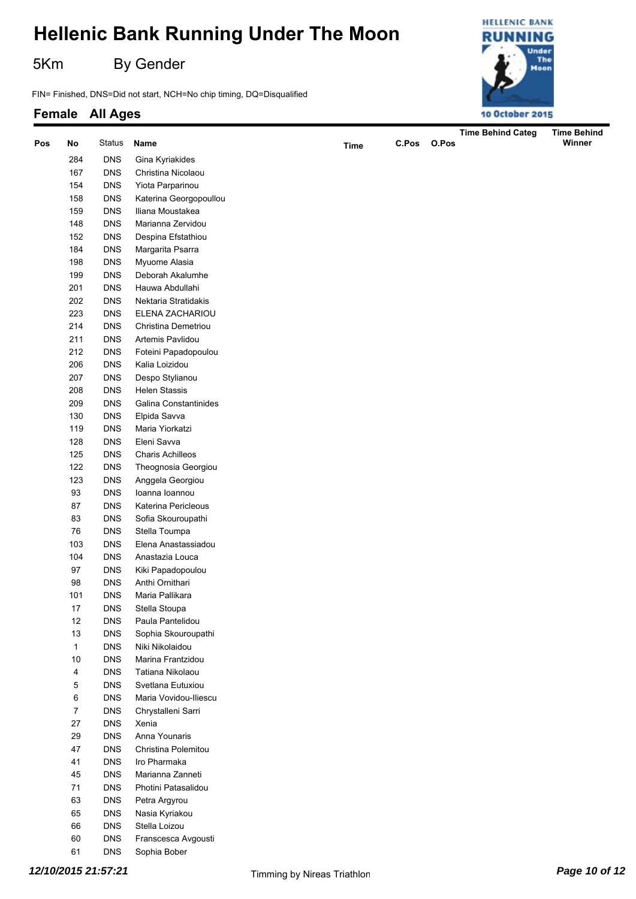5Km By Gender

FIN= Finished, DNS=Did not start, NCH=No chip timing, DQ=Disqualified

#### **Female All Ages**



| Pos | No               | Status     | Name                    |             | C.Pos | O.Pos | <b>Time Behind Categ</b> | <b>Time Behind</b><br>Winner |
|-----|------------------|------------|-------------------------|-------------|-------|-------|--------------------------|------------------------------|
|     |                  |            |                         | <b>Time</b> |       |       |                          |                              |
|     | 284              | <b>DNS</b> | Gina Kyriakides         |             |       |       |                          |                              |
|     | 167              | <b>DNS</b> | Christina Nicolaou      |             |       |       |                          |                              |
|     | 154              | <b>DNS</b> | Yiota Parparinou        |             |       |       |                          |                              |
|     | 158              | <b>DNS</b> | Katerina Georgopoullou  |             |       |       |                          |                              |
|     | 159              | <b>DNS</b> | Iliana Moustakea        |             |       |       |                          |                              |
|     | 148              | <b>DNS</b> | Marianna Zervidou       |             |       |       |                          |                              |
|     | 152              | <b>DNS</b> | Despina Efstathiou      |             |       |       |                          |                              |
|     | 184              | <b>DNS</b> | Margarita Psarra        |             |       |       |                          |                              |
|     | 198              | <b>DNS</b> | Myuome Alasia           |             |       |       |                          |                              |
|     | 199              | <b>DNS</b> | Deborah Akalumhe        |             |       |       |                          |                              |
|     | 201              | <b>DNS</b> | Hauwa Abdullahi         |             |       |       |                          |                              |
|     | 202              | <b>DNS</b> | Nektaria Stratidakis    |             |       |       |                          |                              |
|     | 223              | <b>DNS</b> | ELENA ZACHARIOU         |             |       |       |                          |                              |
|     | 214              | <b>DNS</b> | Christina Demetriou     |             |       |       |                          |                              |
|     | 211              | <b>DNS</b> | Artemis Pavlidou        |             |       |       |                          |                              |
|     | 212              | <b>DNS</b> | Foteini Papadopoulou    |             |       |       |                          |                              |
|     | 206              | <b>DNS</b> | Kalia Loizidou          |             |       |       |                          |                              |
|     | 207              | <b>DNS</b> | Despo Stylianou         |             |       |       |                          |                              |
|     | 208              | <b>DNS</b> | <b>Helen Stassis</b>    |             |       |       |                          |                              |
|     | 209              | <b>DNS</b> | Galina Constantinides   |             |       |       |                          |                              |
|     | 130              | <b>DNS</b> | Elpida Savva            |             |       |       |                          |                              |
|     | 119              | <b>DNS</b> | Maria Yiorkatzi         |             |       |       |                          |                              |
|     | 128              | <b>DNS</b> | Eleni Savva             |             |       |       |                          |                              |
|     | 125              | <b>DNS</b> | <b>Charis Achilleos</b> |             |       |       |                          |                              |
|     | 122              | <b>DNS</b> | Theognosia Georgiou     |             |       |       |                          |                              |
|     | 123              | <b>DNS</b> | Anggela Georgiou        |             |       |       |                          |                              |
|     | 93               | <b>DNS</b> | Ioanna Ioannou          |             |       |       |                          |                              |
|     | 87               | <b>DNS</b> | Katerina Pericleous     |             |       |       |                          |                              |
|     | 83               | <b>DNS</b> | Sofia Skouroupathi      |             |       |       |                          |                              |
|     | 76               | <b>DNS</b> | Stella Toumpa           |             |       |       |                          |                              |
|     | 103              | <b>DNS</b> | Elena Anastassiadou     |             |       |       |                          |                              |
|     | 104              | <b>DNS</b> | Anastazia Louca         |             |       |       |                          |                              |
|     | 97               | <b>DNS</b> | Kiki Papadopoulou       |             |       |       |                          |                              |
|     | 98               | <b>DNS</b> | Anthi Ornithari         |             |       |       |                          |                              |
|     | 101              | <b>DNS</b> | Maria Pallikara         |             |       |       |                          |                              |
|     | $17\,$           | <b>DNS</b> | Stella Stoupa           |             |       |       |                          |                              |
|     | 12               | <b>DNS</b> | Paula Pantelidou        |             |       |       |                          |                              |
|     | 13               | <b>DNS</b> | Sophia Skouroupathi     |             |       |       |                          |                              |
|     | $\mathbf{1}$     | <b>DNS</b> | Niki Nikolaidou         |             |       |       |                          |                              |
|     | 10               | <b>DNS</b> | Marina Frantzidou       |             |       |       |                          |                              |
|     | 4                | <b>DNS</b> | Tatiana Nikolaou        |             |       |       |                          |                              |
|     | 5                | <b>DNS</b> | Svetlana Eutuxiou       |             |       |       |                          |                              |
|     | 6                | <b>DNS</b> | Maria Vovidou-Iliescu   |             |       |       |                          |                              |
|     | $\boldsymbol{7}$ | <b>DNS</b> | Chrystalleni Sarri      |             |       |       |                          |                              |
|     | 27               | <b>DNS</b> | Xenia                   |             |       |       |                          |                              |
|     | 29               | <b>DNS</b> | Anna Younaris           |             |       |       |                          |                              |
|     | 47               | <b>DNS</b> | Christina Polemitou     |             |       |       |                          |                              |
|     | 41               | <b>DNS</b> | Iro Pharmaka            |             |       |       |                          |                              |
|     | 45               | <b>DNS</b> | Marianna Zanneti        |             |       |       |                          |                              |
|     | 71               | <b>DNS</b> | Photini Patasalidou     |             |       |       |                          |                              |
|     | 63               | <b>DNS</b> | Petra Argyrou           |             |       |       |                          |                              |
|     | 65               | <b>DNS</b> | Nasia Kyriakou          |             |       |       |                          |                              |
|     |                  |            |                         |             |       |       |                          |                              |
|     | 66               | <b>DNS</b> | Stella Loizou           |             |       |       |                          |                              |
|     | 60               | <b>DNS</b> | Franscesca Avgousti     |             |       |       |                          |                              |

61 DNS Sophia Bober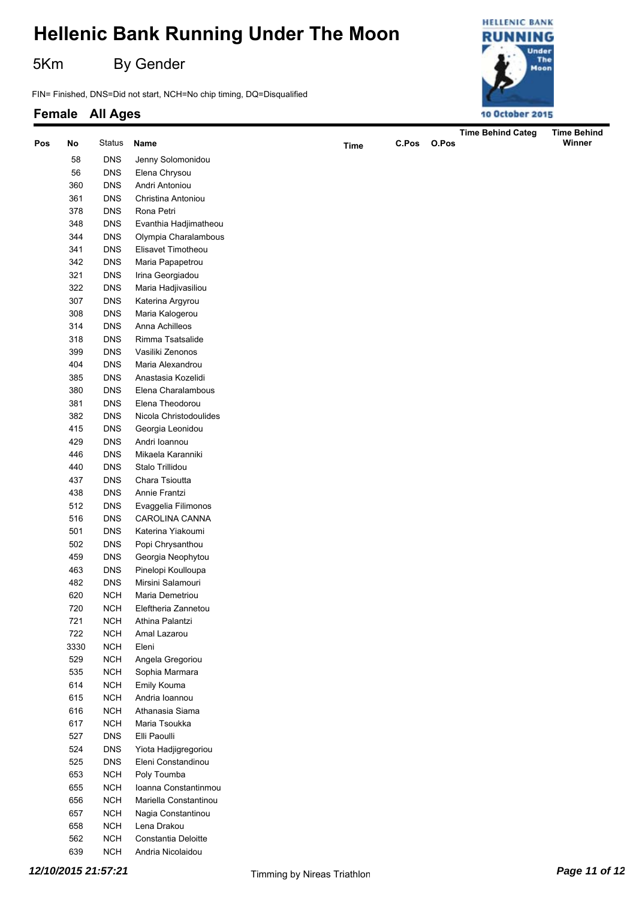5Km By Gender

FIN= Finished, DNS=Did not start, NCH=No chip timing, DQ=Disqualified



|     |      |            |                                   |             |       |       | <b>Time Behind Categ</b> | <b>Time Behind</b> |
|-----|------|------------|-----------------------------------|-------------|-------|-------|--------------------------|--------------------|
| Pos | No   | Status     | Name                              | <b>Time</b> | C.Pos | O.Pos |                          | Winner             |
|     | 58   | <b>DNS</b> | Jenny Solomonidou                 |             |       |       |                          |                    |
|     | 56   | <b>DNS</b> | Elena Chrysou                     |             |       |       |                          |                    |
|     | 360  | <b>DNS</b> | Andri Antoniou                    |             |       |       |                          |                    |
|     | 361  | <b>DNS</b> | Christina Antoniou                |             |       |       |                          |                    |
|     | 378  | <b>DNS</b> | Rona Petri                        |             |       |       |                          |                    |
|     | 348  | <b>DNS</b> | Evanthia Hadjimatheou             |             |       |       |                          |                    |
|     | 344  | <b>DNS</b> | Olympia Charalambous              |             |       |       |                          |                    |
|     | 341  | <b>DNS</b> | Elisavet Timotheou                |             |       |       |                          |                    |
|     | 342  | <b>DNS</b> | Maria Papapetrou                  |             |       |       |                          |                    |
|     | 321  | <b>DNS</b> | Irina Georgiadou                  |             |       |       |                          |                    |
|     | 322  | <b>DNS</b> | Maria Hadjivasiliou               |             |       |       |                          |                    |
|     | 307  | <b>DNS</b> | Katerina Argyrou                  |             |       |       |                          |                    |
|     | 308  | <b>DNS</b> | Maria Kalogerou                   |             |       |       |                          |                    |
|     | 314  | <b>DNS</b> | Anna Achilleos                    |             |       |       |                          |                    |
|     | 318  | <b>DNS</b> | Rimma Tsatsalide                  |             |       |       |                          |                    |
|     | 399  | <b>DNS</b> | Vasiliki Zenonos                  |             |       |       |                          |                    |
|     | 404  | <b>DNS</b> | Maria Alexandrou                  |             |       |       |                          |                    |
|     | 385  | <b>DNS</b> | Anastasia Kozelidi                |             |       |       |                          |                    |
|     | 380  | <b>DNS</b> | Elena Charalambous                |             |       |       |                          |                    |
|     | 381  | <b>DNS</b> | Elena Theodorou                   |             |       |       |                          |                    |
|     | 382  | <b>DNS</b> | Nicola Christodoulides            |             |       |       |                          |                    |
|     | 415  | <b>DNS</b> |                                   |             |       |       |                          |                    |
|     | 429  | <b>DNS</b> | Georgia Leonidou<br>Andri Ioannou |             |       |       |                          |                    |
|     | 446  | <b>DNS</b> | Mikaela Karanniki                 |             |       |       |                          |                    |
|     | 440  | <b>DNS</b> | Stalo Trillidou                   |             |       |       |                          |                    |
|     | 437  | <b>DNS</b> | Chara Tsioutta                    |             |       |       |                          |                    |
|     | 438  | <b>DNS</b> | Annie Frantzi                     |             |       |       |                          |                    |
|     | 512  | <b>DNS</b> | Evaggelia Filimonos               |             |       |       |                          |                    |
|     | 516  | <b>DNS</b> | CAROLINA CANNA                    |             |       |       |                          |                    |
|     | 501  | <b>DNS</b> | Katerina Yiakoumi                 |             |       |       |                          |                    |
|     | 502  | <b>DNS</b> | Popi Chrysanthou                  |             |       |       |                          |                    |
|     | 459  | <b>DNS</b> | Georgia Neophytou                 |             |       |       |                          |                    |
|     | 463  | <b>DNS</b> | Pinelopi Koulloupa                |             |       |       |                          |                    |
|     | 482  | <b>DNS</b> | Mirsini Salamouri                 |             |       |       |                          |                    |
|     | 620  | <b>NCH</b> | Maria Demetriou                   |             |       |       |                          |                    |
|     | 720  | <b>NCH</b> | Eleftheria Zannetou               |             |       |       |                          |                    |
|     | 721  | <b>NCH</b> | Athina Palantzi                   |             |       |       |                          |                    |
|     | 722  | <b>NCH</b> | Amal Lazarou                      |             |       |       |                          |                    |
|     | 3330 | <b>NCH</b> | Eleni                             |             |       |       |                          |                    |
|     | 529  | <b>NCH</b> | Angela Gregoriou                  |             |       |       |                          |                    |
|     | 535  | <b>NCH</b> | Sophia Marmara                    |             |       |       |                          |                    |
|     | 614  | <b>NCH</b> | Emily Kouma                       |             |       |       |                          |                    |
|     | 615  | <b>NCH</b> | Andria Ioannou                    |             |       |       |                          |                    |
|     | 616  | <b>NCH</b> | Athanasia Siama                   |             |       |       |                          |                    |
|     | 617  | <b>NCH</b> | Maria Tsoukka                     |             |       |       |                          |                    |
|     | 527  | <b>DNS</b> | Elli Paoulli                      |             |       |       |                          |                    |
|     | 524  | <b>DNS</b> | Yiota Hadjigregoriou              |             |       |       |                          |                    |
|     | 525  | <b>DNS</b> | Eleni Constandinou                |             |       |       |                          |                    |
|     | 653  | <b>NCH</b> | Poly Toumba                       |             |       |       |                          |                    |
|     | 655  | <b>NCH</b> | Ioanna Constantinmou              |             |       |       |                          |                    |
|     | 656  | <b>NCH</b> | Mariella Constantinou             |             |       |       |                          |                    |
|     | 657  | <b>NCH</b> | Nagia Constantinou                |             |       |       |                          |                    |
|     | 658  | <b>NCH</b> | Lena Drakou                       |             |       |       |                          |                    |
|     | 562  | <b>NCH</b> | Constantia Deloitte               |             |       |       |                          |                    |
|     | 639  | <b>NCH</b> | Andria Nicolaidou                 |             |       |       |                          |                    |